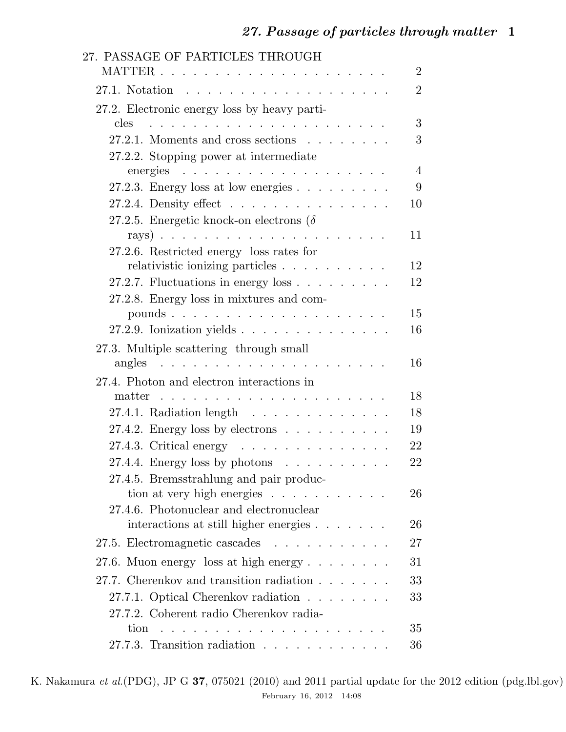| 27. PASSAGE OF PARTICLES THROUGH                                                                                                                                       |                |
|------------------------------------------------------------------------------------------------------------------------------------------------------------------------|----------------|
|                                                                                                                                                                        | $\overline{2}$ |
|                                                                                                                                                                        | $\overline{2}$ |
| 27.2. Electronic energy loss by heavy parti-                                                                                                                           |                |
| cles<br>a característica de la característica de la característica                                                                                                     | 3              |
| $27.2.1.$ Moments and cross sections $\ldots$                                                                                                                          | 3              |
| 27.2.2. Stopping power at intermediate                                                                                                                                 |                |
| energies<br>. The second contribution of the second contribution $\mathcal{L}^{\mathcal{A}}$                                                                           | $\overline{4}$ |
| 27.2.3. Energy loss at low energies $\ldots$                                                                                                                           | 9              |
| 27.2.4. Density effect $\ldots$                                                                                                                                        | 10             |
| 27.2.5. Energetic knock-on electrons ( $\delta$                                                                                                                        |                |
|                                                                                                                                                                        | 11             |
| 27.2.6. Restricted energy loss rates for                                                                                                                               |                |
|                                                                                                                                                                        | 12             |
| 27.2.7. Fluctuations in energy loss $\ldots$ $\ldots$ $\ldots$                                                                                                         | 12             |
| 27.2.8. Energy loss in mixtures and com-                                                                                                                               | 15             |
| 27.2.9. Ionization yields $\ldots$                                                                                                                                     | 16             |
|                                                                                                                                                                        |                |
| 27.3. Multiple scattering through small                                                                                                                                | 16             |
|                                                                                                                                                                        |                |
| 27.4. Photon and electron interactions in<br>matter<br>and a series of the contract of the contract of the contract of the contract of the contract of the contract of | 18             |
| 27.4.1. Radiation length $\ldots$                                                                                                                                      | 18             |
| 27.4.2. Energy loss by electrons $\ldots \ldots \ldots$                                                                                                                | 19             |
| 27.4.3. Critical energy $\ldots \ldots \ldots \ldots$                                                                                                                  | 22             |
| 27.4.4. Energy loss by photons $\ldots \ldots \ldots$                                                                                                                  | 22             |
| 27.4.5. Bremsstrahlung and pair produc-                                                                                                                                |                |
| tion at very high energies                                                                                                                                             | 26             |
| 27.4.6. Photonuclear and electronuclear                                                                                                                                |                |
| interactions at still higher energies                                                                                                                                  | 26             |
| 27.5. Electromagnetic cascades                                                                                                                                         | 27             |
| 27.6. Muon energy loss at high energy $\ldots$                                                                                                                         | 31             |
| 27.7. Cherenkov and transition radiation                                                                                                                               | 33             |
| 27.7.1. Optical Cherenkov radiation                                                                                                                                    | 33             |
| 27.7.2. Coherent radio Cherenkov radia-                                                                                                                                |                |
|                                                                                                                                                                        | 35             |
| 27.7.3. Transition radiation $\ldots$                                                                                                                                  | 36             |

K. Nakamura *et al.*(PDG), JP G 37, 075021 (2010) and 2011 partial update for the 2012 edition (pdg.lbl.gov) February 16, 2012 14:08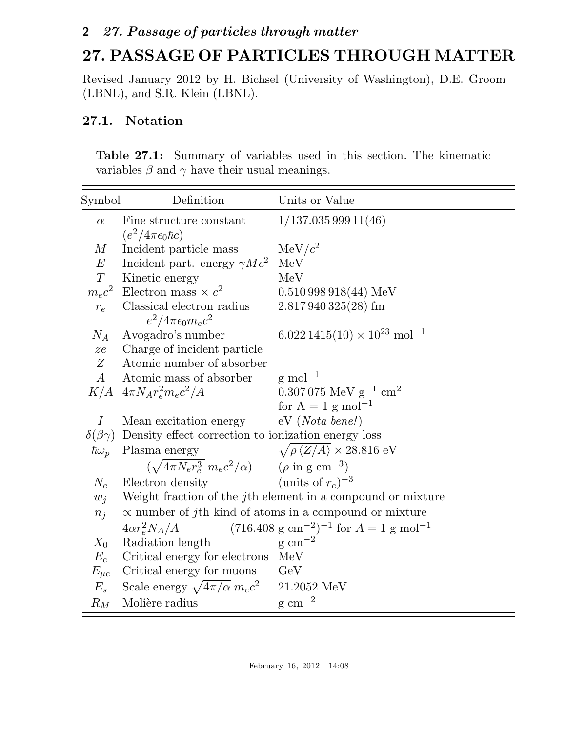# 27. PASSAGE OF PARTICLES THROUGH MATTER

Revised January 2012 by H. Bichsel (University of Washington), D.E. Groom (LBNL), and S.R. Klein (LBNL).

## 27.1. Notation

Table 27.1: Summary of variables used in this section. The kinematic variables  $\beta$  and  $\gamma$  have their usual meanings.

| Symbol                | Definition                                                              | Units or Value                                                    |  |  |  |
|-----------------------|-------------------------------------------------------------------------|-------------------------------------------------------------------|--|--|--|
| $\alpha$              | Fine structure constant                                                 | 1/137.03599911(46)                                                |  |  |  |
|                       | $(e^2/4\pi\epsilon_0\hbar c)$                                           |                                                                   |  |  |  |
| $\,M$                 | Incident particle mass                                                  | $MeV/c^2$                                                         |  |  |  |
| E                     | Incident part. energy $\gamma Mc^2$                                     | MeV                                                               |  |  |  |
| T                     | Kinetic energy                                                          | MeV                                                               |  |  |  |
| $m_ec^2$              | Electron mass $\times c^2$                                              | $0.510998918(44)$ MeV                                             |  |  |  |
| $r_e$                 | Classical electron radius                                               | $2.817940325(28)$ fm                                              |  |  |  |
|                       | $e^2/4\pi\epsilon_0 m_ec^2$                                             |                                                                   |  |  |  |
| $N_A$                 | Avogadro's number                                                       | $6.0221415(10) \times 10^{23}$ mol <sup>-1</sup>                  |  |  |  |
| ze                    | Charge of incident particle                                             |                                                                   |  |  |  |
| Z                     | Atomic number of absorber                                               |                                                                   |  |  |  |
| $\boldsymbol{A}$      | Atomic mass of absorber                                                 | $\rm g$ mol <sup>-1</sup>                                         |  |  |  |
|                       | $K/A$ $4\pi N_A r_e^2 m_e c^2/A$                                        | $0.307075 \; \text{MeV g}^{-1} \; \text{cm}^2$                    |  |  |  |
|                       |                                                                         | for $A = 1$ g mol <sup>-1</sup>                                   |  |  |  |
| $\overline{I}$        | Mean excitation energy                                                  | $eV(Nota\ bene!)$                                                 |  |  |  |
| $\delta(\beta\gamma)$ | Density effect correction to ionization energy loss                     |                                                                   |  |  |  |
| $\hbar\omega_p$       | Plasma energy                                                           | $\sqrt{\rho \langle Z/A \rangle} \times 28.816 \text{ eV}$        |  |  |  |
|                       | $(\sqrt{4\pi N_e r_e^3} m_e c^2/\alpha)$ $(\rho \text{ in g cm}^{-3})$  |                                                                   |  |  |  |
| $N_e$                 | Electron density                                                        | (units of $r_e$ ) <sup>-3</sup>                                   |  |  |  |
| $w_i$                 | Weight fraction of the j <sup>th</sup> element in a compound or mixture |                                                                   |  |  |  |
| $n_j$                 | $\alpha$ number of jth kind of atoms in a compound or mixture           |                                                                   |  |  |  |
| $\frac{1}{1}$         | $4\alpha r_e^2 N_A/A$                                                   | $(716.408 \text{ g cm}^{-2})^{-1}$ for $A = 1 \text{ g mol}^{-1}$ |  |  |  |
| $X_0$                 | Radiation length                                                        | $g \text{ cm}^{-2}$                                               |  |  |  |
| $E_c$                 | Critical energy for electrons                                           | MeV                                                               |  |  |  |
| $E_{\mu c}$           | Critical energy for muons                                               | GeV                                                               |  |  |  |
| $E_s$                 | Scale energy $\sqrt{4\pi/\alpha} m_e c^2$                               | 21.2052 MeV                                                       |  |  |  |
| $R_M$                 | Molière radius                                                          | $\rm g~cm^{-2}$                                                   |  |  |  |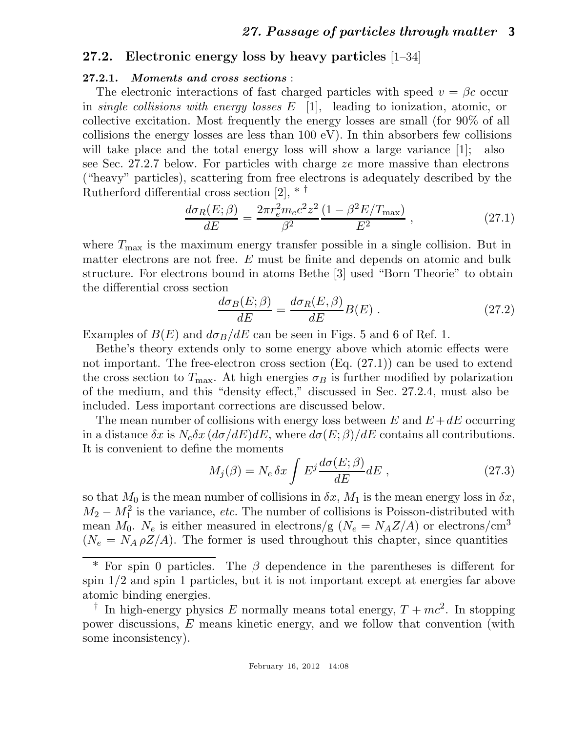#### 27.2. Electronic energy loss by heavy particles [1–34]

#### 27.2.1. Moments and cross sections :

The electronic interactions of fast charged particles with speed  $v = \beta c$  occur in *single collisions with energy losses* E [1], leading to ionization, atomic, or collective excitation. Most frequently the energy losses are small (for 90% of all collisions the energy losses are less than  $100 \text{ eV}$ ). In thin absorbers few collisions will take place and the total energy loss will show a large variance [1]; also see Sec. 27.2.7 below. For particles with charge ze more massive than electrons ("heavy" particles), scattering from free electrons is adequately described by the Rutherford differential cross section [2], \* †

$$
\frac{d\sigma_R(E;\beta)}{dE} = \frac{2\pi r_e^2 m_e c^2 z^2}{\beta^2} \frac{(1 - \beta^2 E/T_{\text{max}})}{E^2} ,\qquad (27.1)
$$

where  $T_{\text{max}}$  is the maximum energy transfer possible in a single collision. But in matter electrons are not free. E must be finite and depends on atomic and bulk structure. For electrons bound in atoms Bethe [3] used "Born Theorie" to obtain the differential cross section

$$
\frac{d\sigma_B(E;\beta)}{dE} = \frac{d\sigma_R(E,\beta)}{dE}B(E) .
$$
\n(27.2)

Examples of  $B(E)$  and  $d\sigma_B/dE$  can be seen in Figs. 5 and 6 of Ref. 1.

Bethe's theory extends only to some energy above which atomic effects were not important. The free-electron cross section (Eq. (27.1)) can be used to extend the cross section to  $T_{\text{max}}$ . At high energies  $\sigma_B$  is further modified by polarization of the medium, and this "density effect," discussed in Sec. 27.2.4, must also be included. Less important corrections are discussed below.

The mean number of collisions with energy loss between E and  $E + dE$  occurring in a distance  $\delta x$  is  $N_e \delta x (d\sigma/dE) dE$ , where  $d\sigma(E;\beta)/dE$  contains all contributions. It is convenient to define the moments

$$
M_j(\beta) = N_e \, \delta x \int E^j \frac{d\sigma(E;\beta)}{dE} dE \,, \tag{27.3}
$$

so that  $M_0$  is the mean number of collisions in  $\delta x$ ,  $M_1$  is the mean energy loss in  $\delta x$ ,  $M_2 - M_1^2$  is the variance, *etc.* The number of collisions is Poisson-distributed with mean  $M_0$ .  $N_e$  is either measured in electrons/g ( $N_e = N_A Z/A$ ) or electrons/cm<sup>3</sup>  $(N_e = N_A \rho Z/A)$ . The former is used throughout this chapter, since quantities

 $*$  For spin 0 particles. The  $\beta$  dependence in the parentheses is different for spin 1/2 and spin 1 particles, but it is not important except at energies far above atomic binding energies.

<sup>&</sup>lt;sup>†</sup> In high-energy physics E normally means total energy,  $T + mc^2$ . In stopping power discussions, E means kinetic energy, and we follow that convention (with some inconsistency).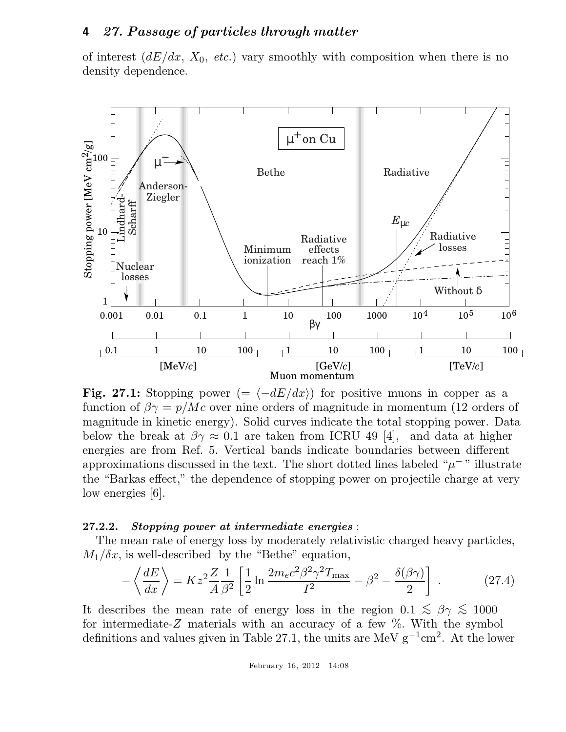of interest  $(dE/dx, X_0, etc.)$  vary smoothly with composition when there is no density dependence.



**Fig. 27.1:** Stopping power (=  $\langle -dE/dx \rangle$ ) for positive muons in copper as a function of  $\beta \gamma = p/Mc$  over nine orders of magnitude in momentum (12 orders of magnitude in kinetic energy). Solid curves indicate the total stopping power. Data below the break at  $\beta \gamma \approx 0.1$  are taken from ICRU 49 [4], and data at higher energies are from Ref. 5. Vertical bands indicate boundaries between different approximations discussed in the text. The short dotted lines labeled " $\mu$ <sup>-</sup>" illustrate the "Barkas effect," the dependence of stopping power on projectile charge at very low energies [6].

#### 27.2.2. Stopping power at intermediate energies :

The mean rate of energy loss by moderately relativistic charged heavy particles,  $M_1/\delta x$ , is well-described by the "Bethe" equation,

$$
-\left\langle \frac{dE}{dx} \right\rangle = Kz^2 \frac{Z}{A} \frac{1}{\beta^2} \left[ \frac{1}{2} \ln \frac{2m_e c^2 \beta^2 \gamma^2 T_{\text{max}}}{I^2} - \beta^2 - \frac{\delta(\beta \gamma)}{2} \right] \,. \tag{27.4}
$$

It describes the mean rate of energy loss in the region  $0.1 \leq \beta \gamma \leq 1000$ for intermediate- $Z$  materials with an accuracy of a few  $\%$ . With the symbol definitions and values given in Table 27.1, the units are MeV  $g^{-1}$ cm<sup>2</sup>. At the lower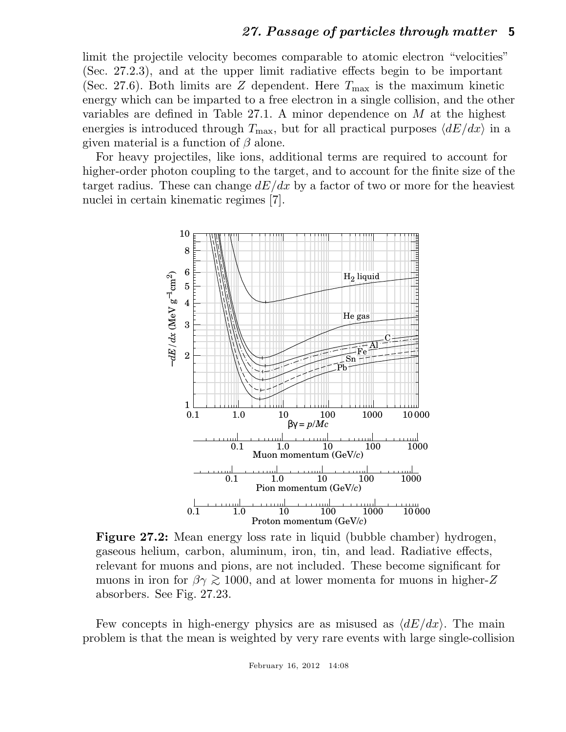limit the projectile velocity becomes comparable to atomic electron "velocities" (Sec. 27.2.3), and at the upper limit radiative effects begin to be important (Sec. 27.6). Both limits are Z dependent. Here  $T_{\text{max}}$  is the maximum kinetic energy which can be imparted to a free electron in a single collision, and the other variables are defined in Table 27.1. A minor dependence on  $M$  at the highest energies is introduced through  $T_{\text{max}}$ , but for all practical purposes  $\langle dE/dx \rangle$  in a given material is a function of  $\beta$  alone.

For heavy projectiles, like ions, additional terms are required to account for higher-order photon coupling to the target, and to account for the finite size of the target radius. These can change  $dE/dx$  by a factor of two or more for the heaviest nuclei in certain kinematic regimes [7].



Figure 27.2: Mean energy loss rate in liquid (bubble chamber) hydrogen, gaseous helium, carbon, aluminum, iron, tin, and lead. Radiative effects, relevant for muons and pions, are not included. These become significant for muons in iron for  $\beta \gamma \gtrsim 1000$ , and at lower momenta for muons in higher-Z absorbers. See Fig. 27.23.

Few concepts in high-energy physics are as misused as  $\langle dE/dx \rangle$ . The main problem is that the mean is weighted by very rare events with large single-collision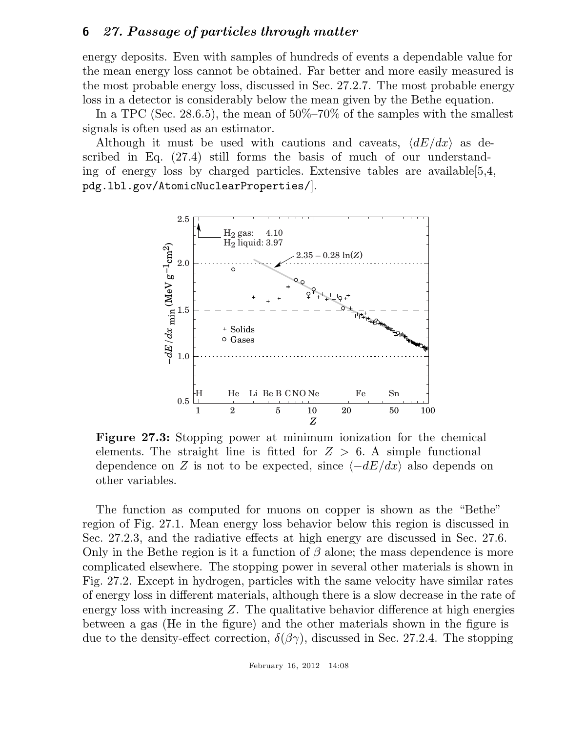energy deposits. Even with samples of hundreds of events a dependable value for the mean energy loss cannot be obtained. Far better and more easily measured is the most probable energy loss, discussed in Sec. 27.2.7. The most probable energy loss in a detector is considerably below the mean given by the Bethe equation.

In a TPC (Sec. 28.6.5), the mean of  $50\% - 70\%$  of the samples with the smallest signals is often used as an estimator.

Although it must be used with cautions and caveats,  $\langle dE/dx \rangle$  as described in Eq. (27.4) still forms the basis of much of our understanding of energy loss by charged particles. Extensive tables are available[5,4, pdg.lbl.gov/AtomicNuclearProperties/].



Figure 27.3: Stopping power at minimum ionization for the chemical elements. The straight line is fitted for  $Z > 6$ . A simple functional dependence on Z is not to be expected, since  $\langle -dE/dx \rangle$  also depends on other variables.

The function as computed for muons on copper is shown as the "Bethe" region of Fig. 27.1. Mean energy loss behavior below this region is discussed in Sec. 27.2.3, and the radiative effects at high energy are discussed in Sec. 27.6. Only in the Bethe region is it a function of  $\beta$  alone; the mass dependence is more complicated elsewhere. The stopping power in several other materials is shown in Fig. 27.2. Except in hydrogen, particles with the same velocity have similar rates of energy loss in different materials, although there is a slow decrease in the rate of energy loss with increasing  $Z$ . The qualitative behavior difference at high energies between a gas (He in the figure) and the other materials shown in the figure is due to the density-effect correction,  $\delta(\beta\gamma)$ , discussed in Sec. 27.2.4. The stopping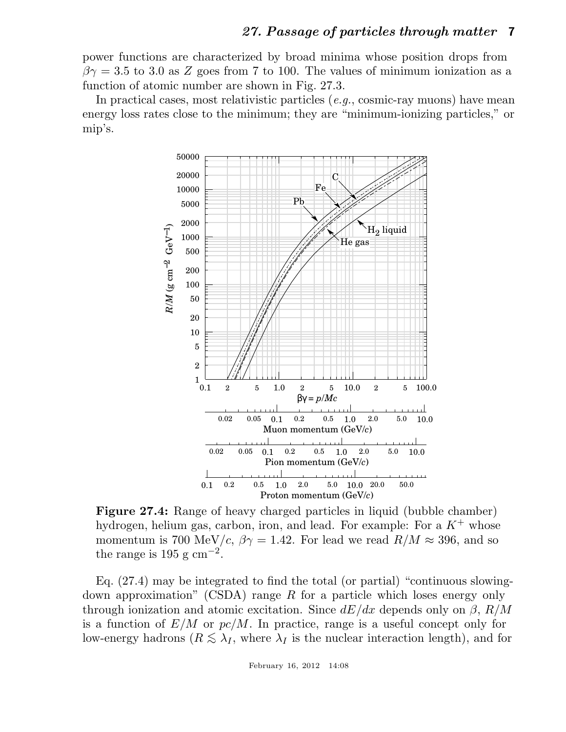power functions are characterized by broad minima whose position drops from  $\beta\gamma = 3.5$  to 3.0 as Z goes from 7 to 100. The values of minimum ionization as a function of atomic number are shown in Fig. 27.3.

In practical cases, most relativistic particles (*e.g.*, cosmic-ray muons) have mean energy loss rates close to the minimum; they are "minimum-ionizing particles," or mip's.



Figure 27.4: Range of heavy charged particles in liquid (bubble chamber) hydrogen, helium gas, carbon, iron, and lead. For example: For a  $K^+$  whose momentum is 700 MeV/c,  $\beta \gamma = 1.42$ . For lead we read  $R/M \approx 396$ , and so the range is 195 g cm<sup>-2</sup>.

Eq. (27.4) may be integrated to find the total (or partial) "continuous slowingdown approximation" (CSDA) range R for a particle which loses energy only through ionization and atomic excitation. Since  $dE/dx$  depends only on  $\beta$ ,  $R/M$ is a function of  $E/M$  or  $pc/M$ . In practice, range is a useful concept only for low-energy hadrons ( $R \leq \lambda_I$ , where  $\lambda_I$  is the nuclear interaction length), and for

February 16, 2012 14:08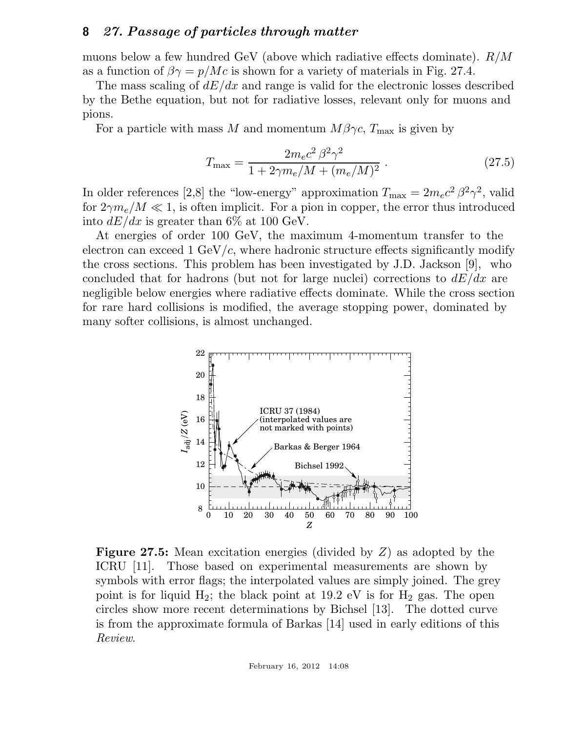muons below a few hundred GeV (above which radiative effects dominate). R/M as a function of  $\beta \gamma = p/Mc$  is shown for a variety of materials in Fig. 27.4.

The mass scaling of  $dE/dx$  and range is valid for the electronic losses described by the Bethe equation, but not for radiative losses, relevant only for muons and pions.

For a particle with mass M and momentum  $M\beta\gamma c$ ,  $T_{\text{max}}$  is given by

$$
T_{\text{max}} = \frac{2m_e c^2 \beta^2 \gamma^2}{1 + 2\gamma m_e / M + (m_e / M)^2} \,. \tag{27.5}
$$

In older references [2,8] the "low-energy" approximation  $T_{\text{max}} = 2m_e c^2 \beta^2 \gamma^2$ , valid for  $2\gamma m_e/M \ll 1$ , is often implicit. For a pion in copper, the error thus introduced into  $dE/dx$  is greater than 6\% at 100 GeV.

At energies of order 100 GeV, the maximum 4-momentum transfer to the electron can exceed 1 GeV/ $c$ , where hadronic structure effects significantly modify the cross sections. This problem has been investigated by J.D. Jackson [9], who concluded that for hadrons (but not for large nuclei) corrections to  $dE/dx$  are negligible below energies where radiative effects dominate. While the cross section for rare hard collisions is modified, the average stopping power, dominated by many softer collisions, is almost unchanged.



Figure 27.5: Mean excitation energies (divided by Z) as adopted by the ICRU [11]. Those based on experimental measurements are shown by symbols with error flags; the interpolated values are simply joined. The grey point is for liquid  $H_2$ ; the black point at 19.2 eV is for  $H_2$  gas. The open circles show more recent determinations by Bichsel [13]. The dotted curve is from the approximate formula of Barkas [14] used in early editions of this *Review*.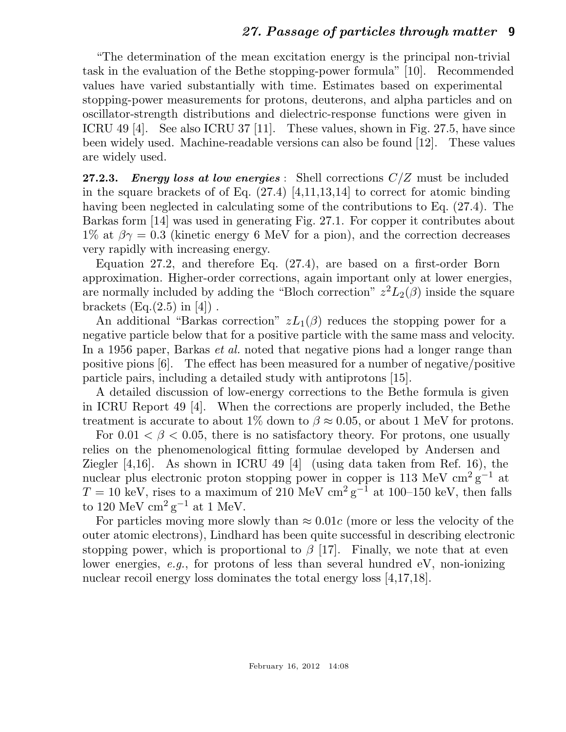"The determination of the mean excitation energy is the principal non-trivial task in the evaluation of the Bethe stopping-power formula" [10]. Recommended values have varied substantially with time. Estimates based on experimental stopping-power measurements for protons, deuterons, and alpha particles and on oscillator-strength distributions and dielectric-response functions were given in ICRU 49 [4]. See also ICRU 37 [11]. These values, shown in Fig. 27.5, have since been widely used. Machine-readable versions can also be found [12]. These values are widely used.

**27.2.3.** Energy loss at low energies : Shell corrections  $C/Z$  must be included in the square brackets of of Eq. (27.4) [4,11,13,14] to correct for atomic binding having been neglected in calculating some of the contributions to Eq. (27.4). The Barkas form [14] was used in generating Fig. 27.1. For copper it contributes about 1% at  $\beta \gamma = 0.3$  (kinetic energy 6 MeV for a pion), and the correction decreases very rapidly with increasing energy.

Equation 27.2, and therefore Eq. (27.4), are based on a first-order Born approximation. Higher-order corrections, again important only at lower energies, are normally included by adding the "Bloch correction"  $z^2L_2(\beta)$  inside the square brackets  $(Eq.(2.5)$  in [4]).

An additional "Barkas correction"  $zL_1(\beta)$  reduces the stopping power for a negative particle below that for a positive particle with the same mass and velocity. In a 1956 paper, Barkas *et al.* noted that negative pions had a longer range than positive pions [6]. The effect has been measured for a number of negative/positive particle pairs, including a detailed study with antiprotons [15].

A detailed discussion of low-energy corrections to the Bethe formula is given in ICRU Report 49 [4]. When the corrections are properly included, the Bethe treatment is accurate to about 1% down to  $\beta \approx 0.05$ , or about 1 MeV for protons.

For  $0.01 < \beta < 0.05$ , there is no satisfactory theory. For protons, one usually relies on the phenomenological fitting formulae developed by Andersen and Ziegler [4,16]. As shown in ICRU 49 [4] (using data taken from Ref. 16), the nuclear plus electronic proton stopping power in copper is 113 MeV  $\text{cm}^2\text{ g}^{-1}$  at  $T = 10 \text{ keV}$ , rises to a maximum of 210 MeV cm<sup>2</sup> g<sup>-1</sup> at 100–150 keV, then falls to 120 MeV  $\mathrm{cm}^2 \mathrm{g}^{-1}$  at 1 MeV.

For particles moving more slowly than  $\approx 0.01c$  (more or less the velocity of the outer atomic electrons), Lindhard has been quite successful in describing electronic stopping power, which is proportional to  $\beta$  [17]. Finally, we note that at even lower energies, *e.g.*, for protons of less than several hundred eV, non-ionizing nuclear recoil energy loss dominates the total energy loss [4,17,18].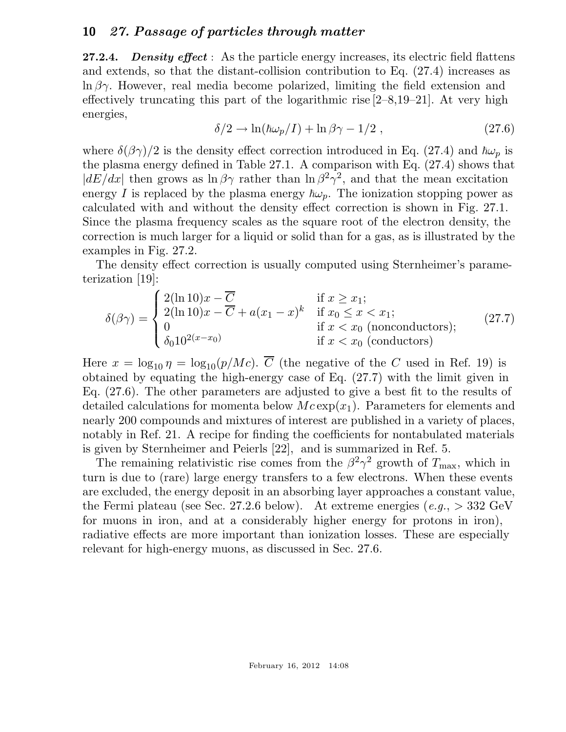**27.2.4.** Density effect : As the particle energy increases, its electric field flattens and extends, so that the distant-collision contribution to Eq. (27.4) increases as  $\ln \beta \gamma$ . However, real media become polarized, limiting the field extension and effectively truncating this part of the logarithmic rise  $[2-8,19-21]$ . At very high energies,

$$
\delta/2 \to \ln(\hbar \omega_p/I) + \ln \beta \gamma - 1/2 , \qquad (27.6)
$$

where  $\delta(\beta\gamma)/2$  is the density effect correction introduced in Eq. (27.4) and  $\hbar\omega_p$  is the plasma energy defined in Table 27.1. A comparison with Eq. (27.4) shows that  $|dE/dx|$  then grows as  $\ln \beta \gamma$  rather than  $\ln \beta^2 \gamma^2$ , and that the mean excitation energy I is replaced by the plasma energy  $\hbar\omega_p$ . The ionization stopping power as calculated with and without the density effect correction is shown in Fig. 27.1. Since the plasma frequency scales as the square root of the electron density, the correction is much larger for a liquid or solid than for a gas, as is illustrated by the examples in Fig. 27.2.

The density effect correction is usually computed using Sternheimer's parameterization [19]:

$$
\delta(\beta \gamma) = \begin{cases}\n2(\ln 10)x - \overline{C} & \text{if } x \ge x_1; \\
2(\ln 10)x - \overline{C} + a(x_1 - x)^k & \text{if } x_0 \le x < x_1; \\
0 & \text{if } x < x_0 \text{ (nonconductors)}; \\
\delta_0 10^{2(x - x_0)} & \text{if } x < x_0 \text{ (conductors)}\n\end{cases} \tag{27.7}
$$

Here  $x = \log_{10} \eta = \log_{10}(p/Mc)$ .  $\overline{C}$  (the negative of the C used in Ref. 19) is obtained by equating the high-energy case of Eq. (27.7) with the limit given in Eq. (27.6). The other parameters are adjusted to give a best fit to the results of detailed calculations for momenta below  $Mc \exp(x_1)$ . Parameters for elements and nearly 200 compounds and mixtures of interest are published in a variety of places, notably in Ref. 21. A recipe for finding the coefficients for nontabulated materials is given by Sternheimer and Peierls [22], and is summarized in Ref. 5.

The remaining relativistic rise comes from the  $\beta^2 \gamma^2$  growth of  $T_{\text{max}}$ , which in turn is due to (rare) large energy transfers to a few electrons. When these events are excluded, the energy deposit in an absorbing layer approaches a constant value, the Fermi plateau (see Sec. 27.2.6 below). At extreme energies (*e.g.*, > 332 GeV for muons in iron, and at a considerably higher energy for protons in iron), radiative effects are more important than ionization losses. These are especially relevant for high-energy muons, as discussed in Sec. 27.6.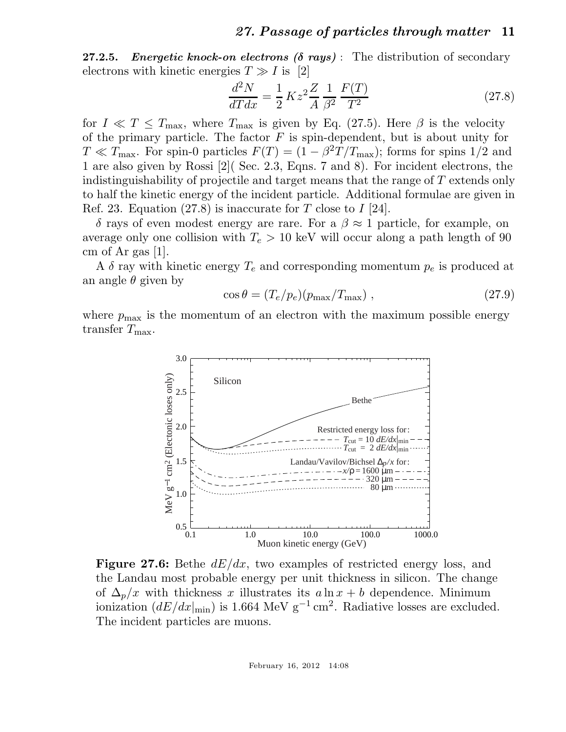**27.2.5.** Energetic knock-on electrons  $(\delta$  rays): The distribution of secondary electrons with kinetic energies  $T \gg I$  is [2]

$$
\frac{d^2N}{dTdx} = \frac{1}{2} Kz^2 \frac{Z}{A} \frac{1}{\beta^2} \frac{F(T)}{T^2}
$$
 (27.8)

for  $I \ll T \leq T_{\text{max}}$ , where  $T_{\text{max}}$  is given by Eq. (27.5). Here  $\beta$  is the velocity of the primary particle. The factor  $F$  is spin-dependent, but is about unity for  $T \ll T_{\text{max}}$ . For spin-0 particles  $F(T) = (1 - \beta^2 T/T_{\text{max}})$ ; forms for spins 1/2 and 1 are also given by Rossi [2]( Sec. 2.3, Eqns. 7 and 8). For incident electrons, the indistinguishability of projectile and target means that the range of T extends only to half the kinetic energy of the incident particle. Additional formulae are given in Ref. 23. Equation (27.8) is inaccurate for T close to  $I$  [24].

δ rays of even modest energy are rare. For a β ≈ 1 particle, for example, on average only one collision with  $T_e > 10$  keV will occur along a path length of 90 cm of Ar gas  $|1|$ .

A  $\delta$  ray with kinetic energy  $T_e$  and corresponding momentum  $p_e$  is produced at an angle  $\theta$  given by

$$
\cos \theta = (T_e / p_e) (p_{\text{max}} / T_{\text{max}}) , \qquad (27.9)
$$

where  $p_{\text{max}}$  is the momentum of an electron with the maximum possible energy transfer  $T_{\text{max}}$ .



**Figure 27.6:** Bethe  $dE/dx$ , two examples of restricted energy loss, and the Landau most probable energy per unit thickness in silicon. The change of  $\Delta_p/x$  with thickness x illustrates its  $a \ln x + b$  dependence. Minimum ionization  $(dE/dx|_{min})$  is 1.664 MeV g<sup>-1</sup> cm<sup>2</sup>. Radiative losses are excluded. The incident particles are muons.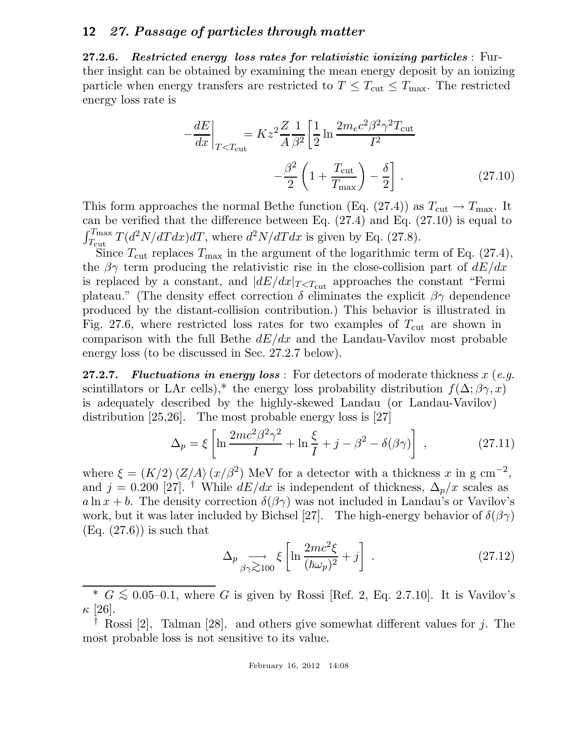27.2.6. Restricted energy loss rates for relativistic ionizing particles : Further insight can be obtained by examining the mean energy deposit by an ionizing particle when energy transfers are restricted to  $T \leq T_{\text{cut}} \leq T_{\text{max}}$ . The restricted energy loss rate is

$$
-\frac{dE}{dx}\bigg|_{T (27.10)
$$

This form approaches the normal Bethe function (Eq. (27.4)) as  $T_{\text{cut}} \rightarrow T_{\text{max}}$ . It can be verified that the difference between Eq. (27.4) and Eq. (27.10) is equal to  $\int_{T_{\text{cut}}}^{T_{\text{max}}} T(d^2N/dTdx) dT$ , where  $d^2N/dTdx$  is given by Eq. (27.8).

Since  $T_{\text{cut}}$  replaces  $T_{\text{max}}$  in the argument of the logarithmic term of Eq. (27.4), the  $\beta\gamma$  term producing the relativistic rise in the close-collision part of  $dE/dx$ is replaced by a constant, and  $|dE/dx|_{T approaches the constant "Fermi$ plateau." (The density effect correction  $\delta$  eliminates the explicit  $\beta\gamma$  dependence produced by the distant-collision contribution.) This behavior is illustrated in Fig. 27.6, where restricted loss rates for two examples of  $T_{\text{cut}}$  are shown in comparison with the full Bethe  $dE/dx$  and the Landau-Vavilov most probable energy loss (to be discussed in Sec. 27.2.7 below).

27.2.7. Fluctuations in energy loss : For detectors of moderate thickness x (*e.g.* scintillators or LAr cells),\* the energy loss probability distribution  $f(\Delta; \beta \gamma, x)$ is adequately described by the highly-skewed Landau (or Landau-Vavilov) distribution [25,26]. The most probable energy loss is [27]

$$
\Delta_p = \xi \left[ \ln \frac{2mc^2 \beta^2 \gamma^2}{I} + \ln \frac{\xi}{I} + j - \beta^2 - \delta(\beta \gamma) \right] , \qquad (27.11)
$$

where  $\xi = (K/2) \langle Z/A \rangle (x/\beta^2)$  MeV for a detector with a thickness x in g cm<sup>-2</sup>, and j = 0.200 [27]. <sup>†</sup> While  $dE/dx$  is independent of thickness,  $\Delta_p/x$  scales as a ln x + b. The density correction  $\delta(\beta \gamma)$  was not included in Landau's or Vavilov's work, but it was later included by Bichsel [27]. The high-energy behavior of  $\delta(\beta\gamma)$  $(Eq. (27.6))$  is such that

$$
\Delta_p \underset{\beta \gamma \gtrsim 100}{\longrightarrow} \xi \left[ \ln \frac{2mc^2 \xi}{(\hbar \omega_p)^2} + j \right] \,. \tag{27.12}
$$

 $\overline{\phantom{a}^* G} \lesssim 0.05$ –0.1, where G is given by Rossi [Ref. 2, Eq. 2.7.10]. It is Vavilov's  $\kappa$  [26].

Rossi [2], Talman [28], and others give somewhat different values for j. The most probable loss is not sensitive to its value.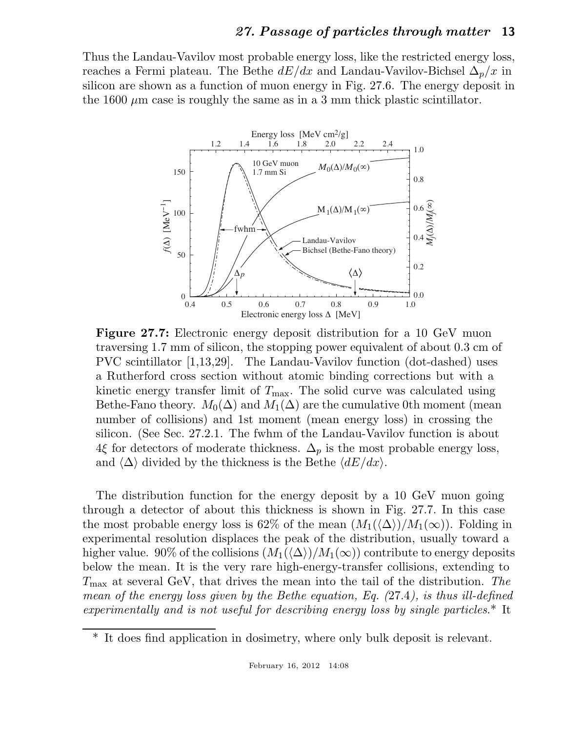Thus the Landau-Vavilov most probable energy loss, like the restricted energy loss, reaches a Fermi plateau. The Bethe  $dE/dx$  and Landau-Vavilov-Bichsel  $\Delta_p/x$  in silicon are shown as a function of muon energy in Fig. 27.6. The energy deposit in the 1600  $\mu$ m case is roughly the same as in a 3 mm thick plastic scintillator.



Figure 27.7: Electronic energy deposit distribution for a 10 GeV muon traversing 1.7 mm of silicon, the stopping power equivalent of about 0.3 cm of PVC scintillator [1,13,29]. The Landau-Vavilov function (dot-dashed) uses a Rutherford cross section without atomic binding corrections but with a kinetic energy transfer limit of  $T_{\text{max}}$ . The solid curve was calculated using Bethe-Fano theory.  $M_0(\Delta)$  and  $M_1(\Delta)$  are the cumulative 0th moment (mean number of collisions) and 1st moment (mean energy loss) in crossing the silicon. (See Sec. 27.2.1. The fwhm of the Landau-Vavilov function is about 4ξ for detectors of moderate thickness.  $\Delta_p$  is the most probable energy loss, and  $\langle \Delta \rangle$  divided by the thickness is the Bethe  $\langle dE/dx \rangle$ .

The distribution function for the energy deposit by a 10 GeV muon going through a detector of about this thickness is shown in Fig. 27.7. In this case the most probable energy loss is 62% of the mean  $(M_1(\langle \Delta \rangle)/M_1(\infty))$ . Folding in experimental resolution displaces the peak of the distribution, usually toward a higher value. 90% of the collisions  $(M_1(\langle \Delta \rangle)/M_1(\infty))$  contribute to energy deposits below the mean. It is the very rare high-energy-transfer collisions, extending to Tmax at several GeV, that drives the mean into the tail of the distribution. *The mean of the energy loss given by the Bethe equation, Eq. (*27.4*), is thus ill-defined experimentally and is not useful for describing energy loss by single particles*.\* It

<sup>\*</sup> It does find application in dosimetry, where only bulk deposit is relevant.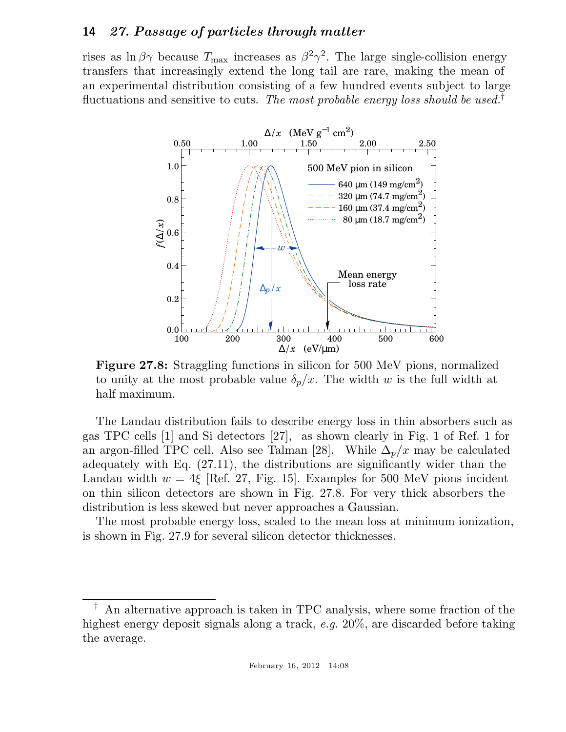rises as  $\ln \beta \gamma$  because  $T_{\text{max}}$  increases as  $\beta^2 \gamma^2$ . The large single-collision energy transfers that increasingly extend the long tail are rare, making the mean of an experimental distribution consisting of a few hundred events subject to large fluctuations and sensitive to cuts. *The most probable energy loss should be used.*†



Figure 27.8: Straggling functions in silicon for 500 MeV pions, normalized to unity at the most probable value  $\delta_p/x$ . The width w is the full width at half maximum.

The Landau distribution fails to describe energy loss in thin absorbers such as gas TPC cells [1] and Si detectors [27], as shown clearly in Fig. 1 of Ref. 1 for an argon-filled TPC cell. Also see Talman [28]. While  $\Delta_p/x$  may be calculated adequately with Eq. (27.11), the distributions are significantly wider than the Landau width  $w = 4\xi$  [Ref. 27, Fig. 15]. Examples for 500 MeV pions incident on thin silicon detectors are shown in Fig. 27.8. For very thick absorbers the distribution is less skewed but never approaches a Gaussian.

The most probable energy loss, scaled to the mean loss at minimum ionization, is shown in Fig. 27.9 for several silicon detector thicknesses.

<sup>†</sup> An alternative approach is taken in TPC analysis, where some fraction of the highest energy deposit signals along a track, *e.g.* 20%, are discarded before taking the average.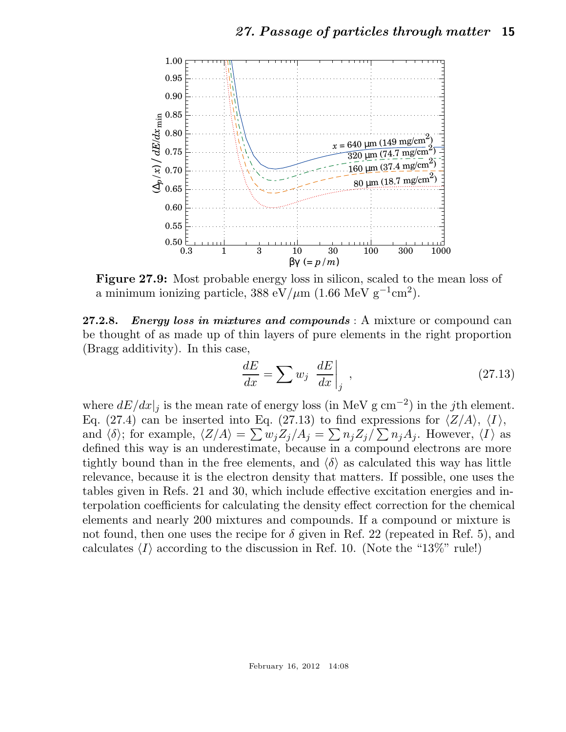

Figure 27.9: Most probable energy loss in silicon, scaled to the mean loss of a minimum ionizing particle, 388 eV/ $\mu$ m (1.66 MeV g<sup>-1</sup>cm<sup>2</sup>).

27.2.8. Energy loss in mixtures and compounds : A mixture or compound can be thought of as made up of thin layers of pure elements in the right proportion (Bragg additivity). In this case,

$$
\frac{dE}{dx} = \sum w_j \left. \frac{dE}{dx} \right|_j , \qquad (27.13)
$$

where  $dE/dx|_j$  is the mean rate of energy loss (in MeV g cm<sup>-2</sup>) in the *j*th element. Eq. (27.4) can be inserted into Eq. (27.13) to find expressions for  $\langle Z/A \rangle$ ,  $\langle I \rangle$ , and  $\langle \delta \rangle$ ; for example,  $\langle Z/A \rangle = \sum w_j Z_j/A_j = \sum n_j Z_j/\sum n_j A_j$ . However,  $\langle I \rangle$  as defined this way is an underestimate, because in a compound electrons are more tightly bound than in the free elements, and  $\langle \delta \rangle$  as calculated this way has little relevance, because it is the electron density that matters. If possible, one uses the tables given in Refs. 21 and 30, which include effective excitation energies and interpolation coefficients for calculating the density effect correction for the chemical elements and nearly 200 mixtures and compounds. If a compound or mixture is not found, then one uses the recipe for  $\delta$  given in Ref. 22 (repeated in Ref. 5), and calculates  $\langle I \rangle$  according to the discussion in Ref. 10. (Note the "13%" rule!)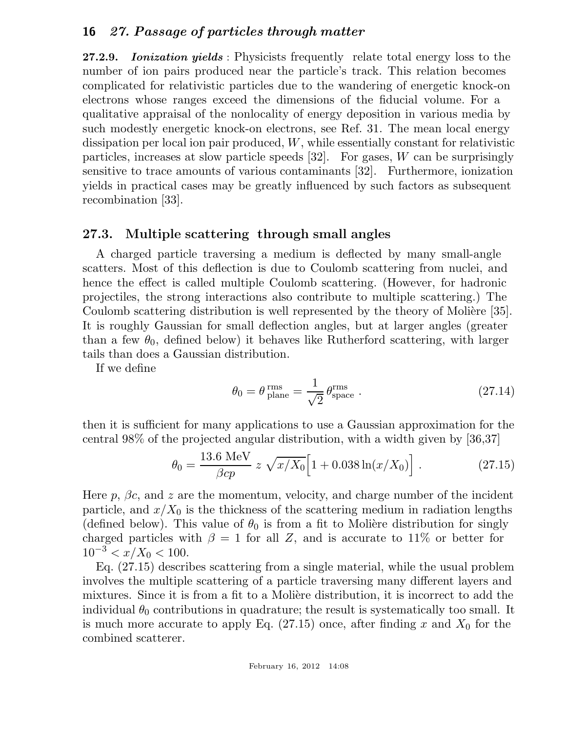27.2.9. Ionization yields: Physicists frequently relate total energy loss to the number of ion pairs produced near the particle's track. This relation becomes complicated for relativistic particles due to the wandering of energetic knock-on electrons whose ranges exceed the dimensions of the fiducial volume. For a qualitative appraisal of the nonlocality of energy deposition in various media by such modestly energetic knock-on electrons, see Ref. 31. The mean local energy dissipation per local ion pair produced, W, while essentially constant for relativistic particles, increases at slow particle speeds  $[32]$ . For gases, W can be surprisingly sensitive to trace amounts of various contaminants [32]. Furthermore, ionization yields in practical cases may be greatly influenced by such factors as subsequent recombination [33].

## 27.3. Multiple scattering through small angles

A charged particle traversing a medium is deflected by many small-angle scatters. Most of this deflection is due to Coulomb scattering from nuclei, and hence the effect is called multiple Coulomb scattering. (However, for hadronic projectiles, the strong interactions also contribute to multiple scattering.) The Coulomb scattering distribution is well represented by the theory of Molière [35]. It is roughly Gaussian for small deflection angles, but at larger angles (greater than a few  $\theta_0$ , defined below) it behaves like Rutherford scattering, with larger tails than does a Gaussian distribution.

If we define

$$
\theta_0 = \theta_{\text{plane}}^{\text{rms}} = \frac{1}{\sqrt{2}} \theta_{\text{space}}^{\text{rms}} \,. \tag{27.14}
$$

then it is sufficient for many applications to use a Gaussian approximation for the central 98% of the projected angular distribution, with a width given by [36,37]

$$
\theta_0 = \frac{13.6 \text{ MeV}}{\beta cp} \ z \ \sqrt{x/X_0} \Big[ 1 + 0.038 \ln(x/X_0) \Big] \ . \tag{27.15}
$$

Here  $p$ ,  $\beta c$ , and z are the momentum, velocity, and charge number of the incident particle, and  $x/X_0$  is the thickness of the scattering medium in radiation lengths (defined below). This value of  $\theta_0$  is from a fit to Molière distribution for singly charged particles with  $\beta = 1$  for all Z, and is accurate to 11% or better for  $10^{-3} < x/X_0 < 100$ .

Eq. (27.15) describes scattering from a single material, while the usual problem involves the multiple scattering of a particle traversing many different layers and mixtures. Since it is from a fit to a Molière distribution, it is incorrect to add the individual  $\theta_0$  contributions in quadrature; the result is systematically too small. It is much more accurate to apply Eq.  $(27.15)$  once, after finding x and  $X_0$  for the combined scatterer.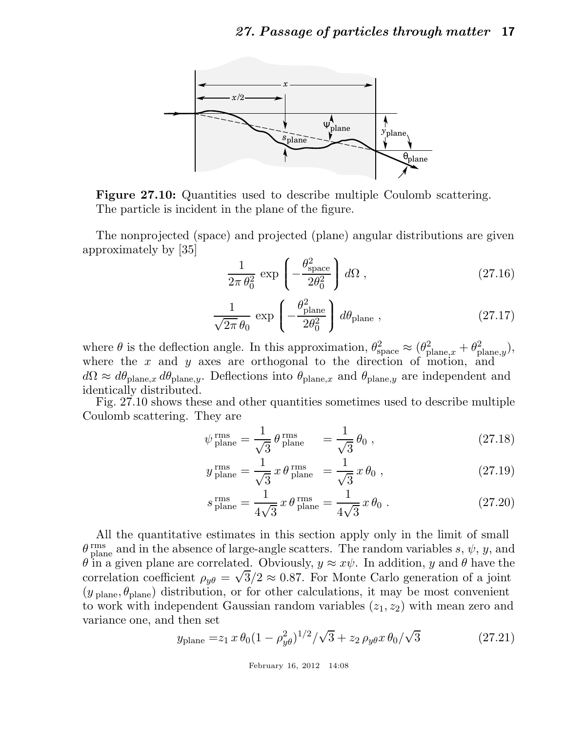

Figure 27.10: Quantities used to describe multiple Coulomb scattering. The particle is incident in the plane of the figure.

The nonprojected (space) and projected (plane) angular distributions are given approximately by [35]

$$
\frac{1}{2\pi \theta_0^2} \exp\left(-\frac{\theta_{\text{space}}^2}{2\theta_0^2}\right) d\Omega ,\qquad (27.16)
$$

$$
\frac{1}{\sqrt{2\pi}\,\theta_0} \, \exp\left(-\frac{\theta_{\text{plane}}^2}{2\theta_0^2}\right) \, d\theta_{\text{plane}} \,, \tag{27.17}
$$

where  $\theta$  is the deflection angle. In this approximation,  $\theta_{\text{space}}^2 \approx (\theta_{\text{plane},x}^2 + \theta_{\text{plane},y}^2)$ , where the  $x$  and  $y$  axes are orthogonal to the direction of motion, and  $d\Omega \approx d\theta_{\text{plane},x} d\theta_{\text{plane},y}$ . Deflections into  $\theta_{\text{plane},x}$  and  $\theta_{\text{plane},y}$  are independent and identically distributed.

Fig. 27.10 shows these and other quantities sometimes used to describe multiple Coulomb scattering. They are

$$
\psi_{\text{plane}}^{\text{rms}} = \frac{1}{\sqrt{3}} \theta_{\text{plane}}^{\text{rms}} = \frac{1}{\sqrt{3}} \theta_0 , \qquad (27.18)
$$

$$
y_{\text{plane}}^{\text{rms}} = \frac{1}{\sqrt{3}} x \theta_{\text{plane}}^{\text{rms}} = \frac{1}{\sqrt{3}} x \theta_0 , \qquad (27.19)
$$

$$
s_{\text{plane}}^{\text{rms}} = \frac{1}{4\sqrt{3}} x \theta_{\text{plane}}^{\text{rms}} = \frac{1}{4\sqrt{3}} x \theta_0 . \qquad (27.20)
$$

All the quantitative estimates in this section apply only in the limit of small  $\theta_{\text{plane}}^{\text{rms}}$  and in the absence of large-angle scatters. The random variables s,  $\psi$ , y, and  $\theta$  in a given plane are correlated. Obviously,  $y \approx x\psi$ . In addition, y and  $\theta$  have the correlation coefficient  $\rho_{y\theta} = \sqrt{3}/2 \approx 0.87$ . For Monte Carlo generation of a joint  $(y_{\text{plane}}, \theta_{\text{plane}})$  distribution, or for other calculations, it may be most convenient to work with independent Gaussian random variables  $(z_1, z_2)$  with mean zero and variance one, and then set

$$
y_{\text{plane}} = z_1 x \theta_0 (1 - \rho_{y\theta}^2)^{1/2} / \sqrt{3} + z_2 \rho_{y\theta} x \theta_0 / \sqrt{3}
$$
 (27.21)

February 16, 2012 14:08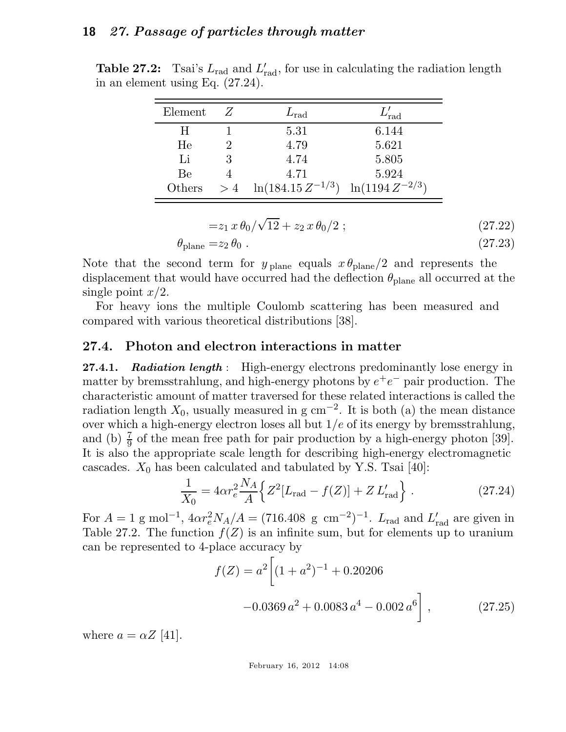| Element |    | $L_{\rm rad}$          | $^{\prime}$ rad      |
|---------|----|------------------------|----------------------|
| н       |    | 5.31                   | 6.144                |
| He      |    | 4.79                   | 5.621                |
| Li      |    | 4.74                   | 5.805                |
| Be      |    | 4.71                   | 5.924                |
| Others  | >4 | $\ln(184.15 Z^{-1/3})$ | $\ln(1194 Z^{-2/3})$ |

Table 27.2: Tsai's  $L_{\text{rad}}$  and  $L'_{\text{rad}}$ , for use in calculating the radiation length in an element using Eq. (27.24).

$$
=z_1 x \theta_0/\sqrt{12} + z_2 x \theta_0/2 ; \qquad (27.22)
$$

$$
\theta_{\text{plane}} = z_2 \,\theta_0 \,. \tag{27.23}
$$

Note that the second term for  $y_{\text{plane}}$  equals  $x \theta_{\text{plane}}/2$  and represents the displacement that would have occurred had the deflection  $\theta_{\text{plane}}$  all occurred at the single point  $x/2$ .

For heavy ions the multiple Coulomb scattering has been measured and compared with various theoretical distributions [38].

#### 27.4. Photon and electron interactions in matter

27.4.1. Radiation length : High-energy electrons predominantly lose energy in matter by bremsstrahlung, and high-energy photons by  $e^+e^-$  pair production. The characteristic amount of matter traversed for these related interactions is called the radiation length  $X_0$ , usually measured in g cm<sup>-2</sup>. It is both (a) the mean distance over which a high-energy electron loses all but  $1/e$  of its energy by bremsstrahlung, and (b)  $\frac{7}{9}$  of the mean free path for pair production by a high-energy photon [39]. It is also the appropriate scale length for describing high-energy electromagnetic cascades.  $X_0$  has been calculated and tabulated by Y.S. Tsai [40]:

$$
\frac{1}{X_0} = 4\alpha r_e^2 \frac{N_A}{A} \Big\{ Z^2 [L_{\text{rad}} - f(Z)] + Z L'_{\text{rad}} \Big\} \,. \tag{27.24}
$$

For  $A = 1$  g mol<sup>-1</sup>,  $4\alpha r_e^2 N_A/A = (716.408 \text{ g cm}^{-2})^{-1}$ .  $L_{\text{rad}}$  and  $L'_{\text{rad}}$  are given in Table 27.2. The function  $f(Z)$  is an infinite sum, but for elements up to uranium can be represented to 4-place accuracy by

$$
f(Z) = a^2 \left[ (1 + a^2)^{-1} + 0.20206
$$
  
-0.0369  $a^2$  + 0.0083  $a^4$  - 0.002  $a^6$  \right], (27.25)

where  $a = \alpha Z$  [41].

February 16, 2012 14:08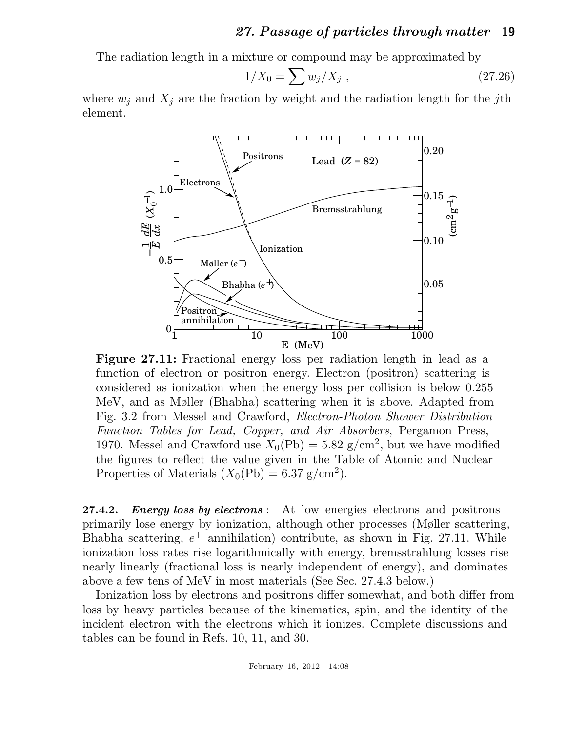The radiation length in a mixture or compound may be approximated by

$$
1/X_0 = \sum w_j / X_j \t\t(27.26)
$$

where  $w_j$  and  $X_j$  are the fraction by weight and the radiation length for the jth element.



Figure 27.11: Fractional energy loss per radiation length in lead as a function of electron or positron energy. Electron (positron) scattering is considered as ionization when the energy loss per collision is below 0.255 MeV, and as Møller (Bhabha) scattering when it is above. Adapted from Fig. 3.2 from Messel and Crawford, *Electron-Photon Shower Distribution Function Tables for Lead, Copper, and Air Absorbers*, Pergamon Press, 1970. Messel and Crawford use  $X_0(\text{Pb}) = 5.82 \text{ g/cm}^2$ , but we have modified the figures to reflect the value given in the Table of Atomic and Nuclear Properties of Materials  $(X_0(\text{Pb}) = 6.37 \text{ g/cm}^2)$ .

27.4.2. *Energy loss by electrons*: At low energies electrons and positrons primarily lose energy by ionization, although other processes (Møller scattering, Bhabha scattering,  $e^+$  annihilation) contribute, as shown in Fig. 27.11. While ionization loss rates rise logarithmically with energy, bremsstrahlung losses rise nearly linearly (fractional loss is nearly independent of energy), and dominates above a few tens of MeV in most materials (See Sec. 27.4.3 below.)

Ionization loss by electrons and positrons differ somewhat, and both differ from loss by heavy particles because of the kinematics, spin, and the identity of the incident electron with the electrons which it ionizes. Complete discussions and tables can be found in Refs. 10, 11, and 30.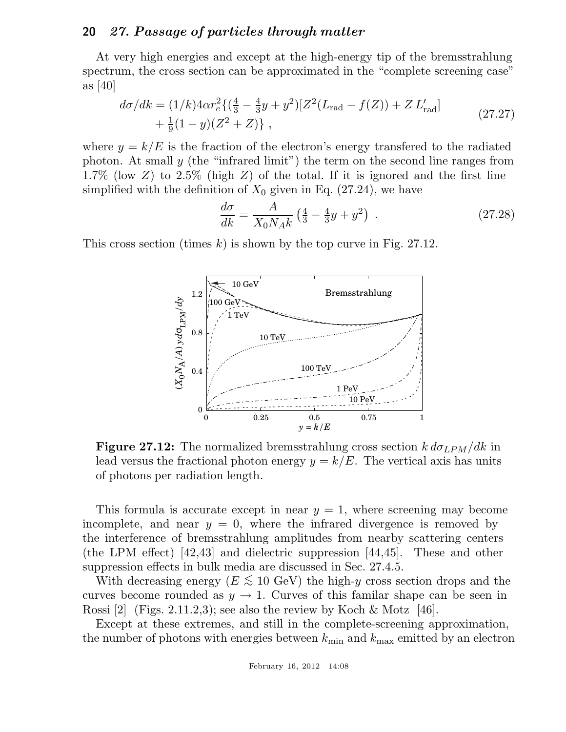At very high energies and except at the high-energy tip of the bremsstrahlung spectrum, the cross section can be approximated in the "complete screening case" as [40]

$$
d\sigma/dk = (1/k)4\alpha r_e^2 \{ (\frac{4}{3} - \frac{4}{3}y + y^2) [Z^2(L_{\text{rad}} - f(Z)) + Z L'_{\text{rad}}] + \frac{1}{9}(1 - y)(Z^2 + Z) \},
$$
\n(27.27)

where  $y = k/E$  is the fraction of the electron's energy transferred to the radiated photon. At small  $y$  (the "infrared limit") the term on the second line ranges from 1.7% (low Z) to 2.5% (high Z) of the total. If it is ignored and the first line simplified with the definition of  $X_0$  given in Eq. (27.24), we have

$$
\frac{d\sigma}{dk} = \frac{A}{X_0 N_A k} \left(\frac{4}{3} - \frac{4}{3}y + y^2\right) \tag{27.28}
$$

This cross section (times k) is shown by the top curve in Fig. 27.12.



**Figure 27.12:** The normalized bremsstrahlung cross section  $k d\sigma_{LPM}/dk$  in lead versus the fractional photon energy  $y = k/E$ . The vertical axis has units of photons per radiation length.

This formula is accurate except in near  $y = 1$ , where screening may become incomplete, and near  $y = 0$ , where the infrared divergence is removed by the interference of bremsstrahlung amplitudes from nearby scattering centers (the LPM effect) [42,43] and dielectric suppression [44,45]. These and other suppression effects in bulk media are discussed in Sec. 27.4.5.

With decreasing energy ( $E \lesssim 10$  GeV) the high-y cross section drops and the curves become rounded as  $y \to 1$ . Curves of this familar shape can be seen in Rossi [2] (Figs. 2.11.2,3); see also the review by Koch & Motz [46].

Except at these extremes, and still in the complete-screening approximation, the number of photons with energies between  $k_{\text{min}}$  and  $k_{\text{max}}$  emitted by an electron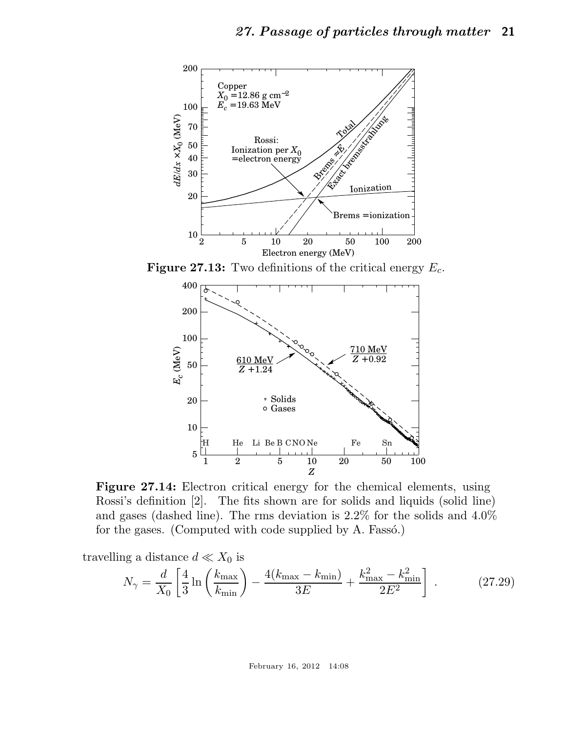

**Figure 27.13:** Two definitions of the critical energy  $E_c$ .



Figure 27.14: Electron critical energy for the chemical elements, using Rossi's definition [2]. The fits shown are for solids and liquids (solid line) and gases (dashed line). The rms deviation is 2.2% for the solids and 4.0% for the gases. (Computed with code supplied by A. Fassó.)

travelling a distance  $d \ll X_0$  is

$$
N_{\gamma} = \frac{d}{X_0} \left[ \frac{4}{3} \ln \left( \frac{k_{\text{max}}}{k_{\text{min}}} \right) - \frac{4(k_{\text{max}} - k_{\text{min}})}{3E} + \frac{k_{\text{max}}^2 - k_{\text{min}}^2}{2E^2} \right] \,. \tag{27.29}
$$

February 16, 2012 14:08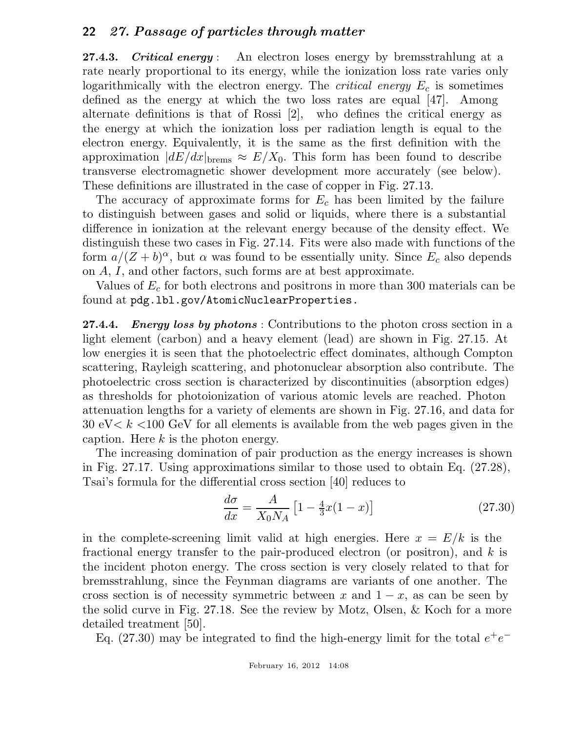27.4.3. Critical energy : An electron loses energy by bremsstrahlung at a rate nearly proportional to its energy, while the ionization loss rate varies only logarithmically with the electron energy. The *critical energy*  $E_c$  is sometimes defined as the energy at which the two loss rates are equal [47]. Among alternate definitions is that of Rossi [2], who defines the critical energy as the energy at which the ionization loss per radiation length is equal to the electron energy. Equivalently, it is the same as the first definition with the approximation  $|dE/dx|_{\text{brems}} \approx E/X_0$ . This form has been found to describe transverse electromagnetic shower development more accurately (see below). These definitions are illustrated in the case of copper in Fig. 27.13.

The accuracy of approximate forms for  $E_c$  has been limited by the failure to distinguish between gases and solid or liquids, where there is a substantial difference in ionization at the relevant energy because of the density effect. We distinguish these two cases in Fig. 27.14. Fits were also made with functions of the form  $a/(Z + b)^{\alpha}$ , but  $\alpha$  was found to be essentially unity. Since  $E_c$  also depends on A, I, and other factors, such forms are at best approximate.

Values of  $E_c$  for both electrons and positrons in more than 300 materials can be found at pdg.lbl.gov/AtomicNuclearProperties.

27.4.4. Energy loss by photons: Contributions to the photon cross section in a light element (carbon) and a heavy element (lead) are shown in Fig. 27.15. At low energies it is seen that the photoelectric effect dominates, although Compton scattering, Rayleigh scattering, and photonuclear absorption also contribute. The photoelectric cross section is characterized by discontinuities (absorption edges) as thresholds for photoionization of various atomic levels are reached. Photon attenuation lengths for a variety of elements are shown in Fig. 27.16, and data for 30 eV $\lt k \lt 100$  GeV for all elements is available from the web pages given in the caption. Here  $k$  is the photon energy.

The increasing domination of pair production as the energy increases is shown in Fig. 27.17. Using approximations similar to those used to obtain Eq. (27.28), Tsai's formula for the differential cross section [40] reduces to

$$
\frac{d\sigma}{dx} = \frac{A}{X_0 N_A} \left[ 1 - \frac{4}{3} x (1 - x) \right]
$$
 (27.30)

in the complete-screening limit valid at high energies. Here  $x = E/k$  is the fractional energy transfer to the pair-produced electron (or positron), and  $k$  is the incident photon energy. The cross section is very closely related to that for bremsstrahlung, since the Feynman diagrams are variants of one another. The cross section is of necessity symmetric between x and  $1 - x$ , as can be seen by the solid curve in Fig. 27.18. See the review by Motz, Olsen, & Koch for a more detailed treatment [50].

Eq. (27.30) may be integrated to find the high-energy limit for the total  $e^+e^-$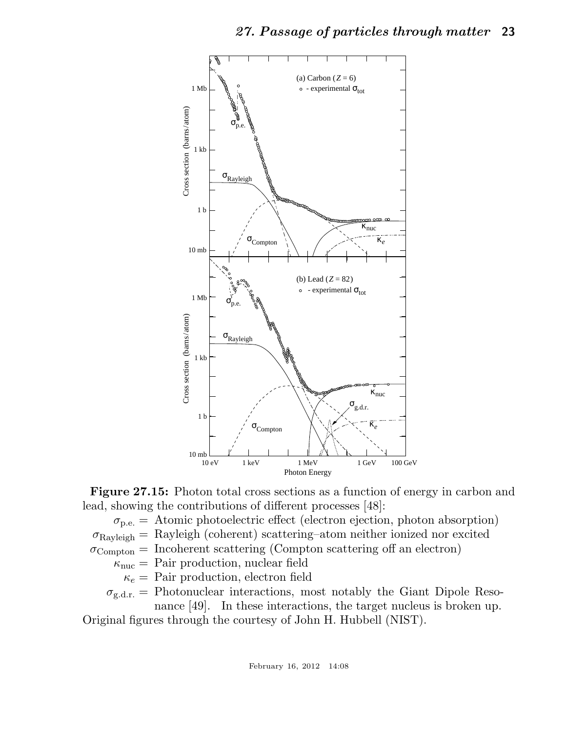

Figure 27.15: Photon total cross sections as a function of energy in carbon and lead, showing the contributions of different processes [48]:

 $\sigma_{\text{p.e.}}$  = Atomic photoelectric effect (electron ejection, photon absorption)

 $\sigma_{\text{Rayleigh}} = \text{Rayleigh}$  (coherent) scattering–atom neither ionized nor excited

 $\sigma_{\text{Compton}} =$  Incoherent scattering (Compton scattering off an electron)

 $\kappa_{\text{nuc}} =$  Pair production, nuclear field

 $\kappa_e$  = Pair production, electron field

 $\sigma_{g,d,r}$  = Photonuclear interactions, most notably the Giant Dipole Reso-

nance [49]. In these interactions, the target nucleus is broken up. Original figures through the courtesy of John H. Hubbell (NIST).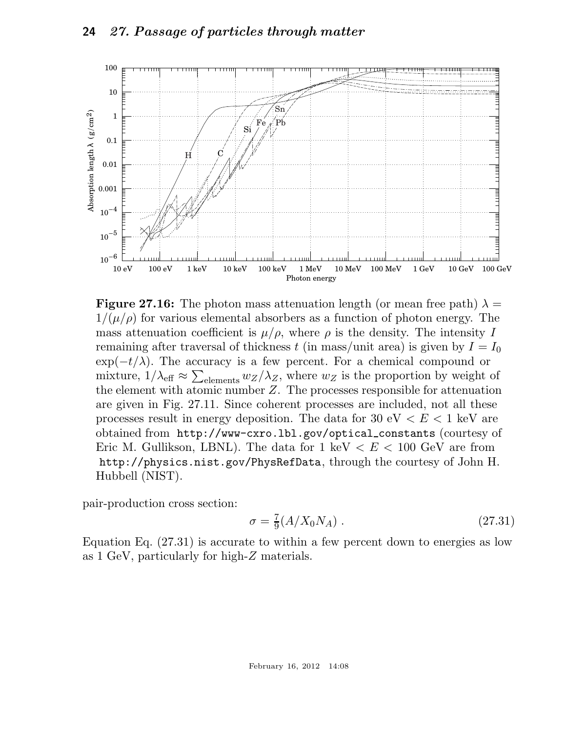

**Figure 27.16:** The photon mass attenuation length (or mean free path)  $\lambda =$  $1/(\mu/\rho)$  for various elemental absorbers as a function of photon energy. The mass attenuation coefficient is  $\mu/\rho$ , where  $\rho$  is the density. The intensity I remaining after traversal of thickness t (in mass/unit area) is given by  $I = I_0$  $\exp(-t/\lambda)$ . The accuracy is a few percent. For a chemical compound or mixture,  $1/\lambda_{\text{eff}} \approx \sum_{\text{elements}} w_Z/\lambda_Z$ , where  $w_Z$  is the proportion by weight of the element with atomic number  $Z$ . The processes responsible for attenuation are given in Fig. 27.11. Since coherent processes are included, not all these processes result in energy deposition. The data for 30 eV  $\lt E \lt 1$  keV are obtained from http://www-cxro.lbl.gov/optical constants (courtesy of Eric M. Gullikson, LBNL). The data for  $1 \text{ keV} < E < 100 \text{ GeV}$  are from http://physics.nist.gov/PhysRefData, through the courtesy of John H. Hubbell (NIST).

pair-production cross section:

$$
\sigma = \frac{7}{9}(A/X_0N_A) \tag{27.31}
$$

Equation Eq. (27.31) is accurate to within a few percent down to energies as low as 1 GeV, particularly for high-Z materials.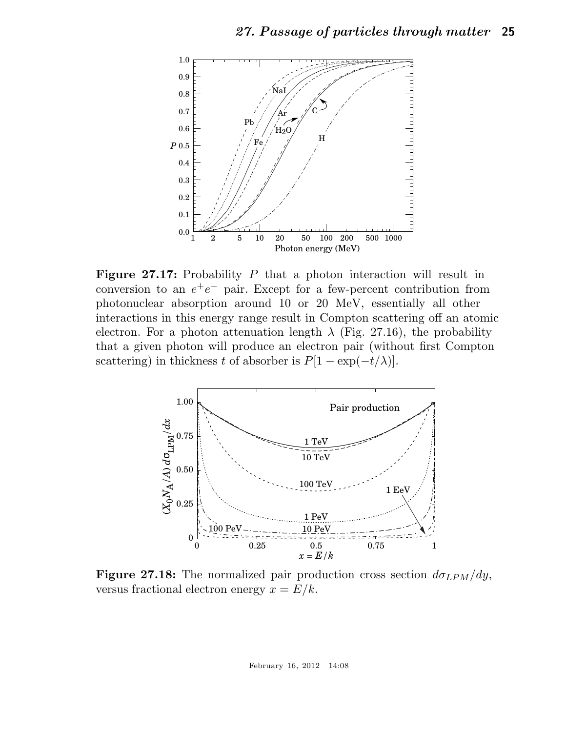

**Figure 27.17:** Probability  $P$  that a photon interaction will result in conversion to an  $e^+e^-$  pair. Except for a few-percent contribution from photonuclear absorption around 10 or 20 MeV, essentially all other interactions in this energy range result in Compton scattering off an atomic electron. For a photon attenuation length  $\lambda$  (Fig. 27.16), the probability that a given photon will produce an electron pair (without first Compton scattering) in thickness t of absorber is  $P[1 - \exp(-t/\lambda)].$ 



**Figure 27.18:** The normalized pair production cross section  $d\sigma_{LPM}/dy$ , versus fractional electron energy  $x = E/k$ .

February 16, 2012 14:08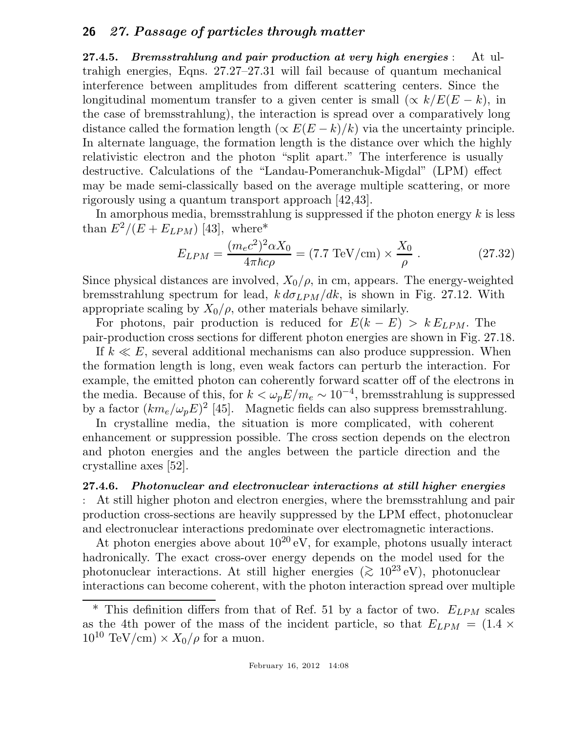27.4.5. Bremsstrahlung and pair production at very high energies : At ultrahigh energies, Eqns. 27.27–27.31 will fail because of quantum mechanical interference between amplitudes from different scattering centers. Since the longitudinal momentum transfer to a given center is small  $(\propto k/E(E-k))$ , in the case of bremsstrahlung), the interaction is spread over a comparatively long distance called the formation length  $(\propto E(E-k)/k)$  via the uncertainty principle. In alternate language, the formation length is the distance over which the highly relativistic electron and the photon "split apart." The interference is usually destructive. Calculations of the "Landau-Pomeranchuk-Migdal" (LPM) effect may be made semi-classically based on the average multiple scattering, or more rigorously using a quantum transport approach [42,43].

In amorphous media, bremsstrahlung is suppressed if the photon energy  $k$  is less than  $E^2/(E + E_{LPM})$  [43], where\*

$$
E_{LPM} = \frac{(m_e c^2)^2 \alpha X_0}{4\pi \hbar c \rho} = (7.7 \text{ TeV/cm}) \times \frac{X_0}{\rho} \,. \tag{27.32}
$$

Since physical distances are involved,  $X_0/\rho$ , in cm, appears. The energy-weighted bremsstrahlung spectrum for lead,  $k d\sigma_{LPM}/dk$ , is shown in Fig. 27.12. With appropriate scaling by  $X_0/\rho$ , other materials behave similarly.

For photons, pair production is reduced for  $E(k - E) > k E_{LPM}$ . The pair-production cross sections for different photon energies are shown in Fig. 27.18.

If  $k \ll E$ , several additional mechanisms can also produce suppression. When the formation length is long, even weak factors can perturb the interaction. For example, the emitted photon can coherently forward scatter off of the electrons in the media. Because of this, for  $k < \omega_p E/m_e \sim 10^{-4}$ , bremsstrahlung is suppressed by a factor  $(km_e/\omega_p E)^2$  [45]. Magnetic fields can also suppress bremsstrahlung.

In crystalline media, the situation is more complicated, with coherent enhancement or suppression possible. The cross section depends on the electron and photon energies and the angles between the particle direction and the crystalline axes [52].

#### 27.4.6. Photonuclear and electronuclear interactions at still higher energies

: At still higher photon and electron energies, where the bremsstrahlung and pair production cross-sections are heavily suppressed by the LPM effect, photonuclear and electronuclear interactions predominate over electromagnetic interactions.

At photon energies above about  $10^{20}$  eV, for example, photons usually interact hadronically. The exact cross-over energy depends on the model used for the photonuclear interactions. At still higher energies ( $\gtrsim 10^{23}$  eV), photonuclear interactions can become coherent, with the photon interaction spread over multiple

 $*$  This definition differs from that of Ref. 51 by a factor of two.  $E_{LPM}$  scales as the 4th power of the mass of the incident particle, so that  $E_{LPM} = (1.4 \times$  $10^{10} \text{ TeV/cm} \times X_0/\rho$  for a muon.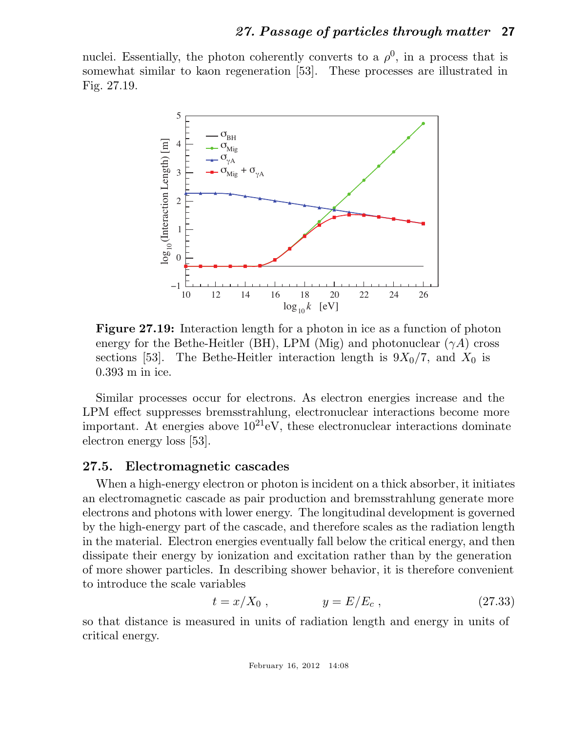nuclei. Essentially, the photon coherently converts to a  $\rho^0$ , in a process that is somewhat similar to kaon regeneration [53]. These processes are illustrated in Fig. 27.19.



Figure 27.19: Interaction length for a photon in ice as a function of photon energy for the Bethe-Heitler (BH), LPM (Mig) and photonuclear  $(\gamma A)$  cross sections [53]. The Bethe-Heitler interaction length is  $9X_0/7$ , and  $X_0$  is 0.393 m in ice.

Similar processes occur for electrons. As electron energies increase and the LPM effect suppresses bremsstrahlung, electronuclear interactions become more important. At energies above  $10^{21}$ eV, these electronuclear interactions dominate electron energy loss [53].

#### 27.5. Electromagnetic cascades

When a high-energy electron or photon is incident on a thick absorber, it initiates an electromagnetic cascade as pair production and bremsstrahlung generate more electrons and photons with lower energy. The longitudinal development is governed by the high-energy part of the cascade, and therefore scales as the radiation length in the material. Electron energies eventually fall below the critical energy, and then dissipate their energy by ionization and excitation rather than by the generation of more shower particles. In describing shower behavior, it is therefore convenient to introduce the scale variables

$$
t = x/X_0 , \t y = E/E_c , \t (27.33)
$$

so that distance is measured in units of radiation length and energy in units of critical energy.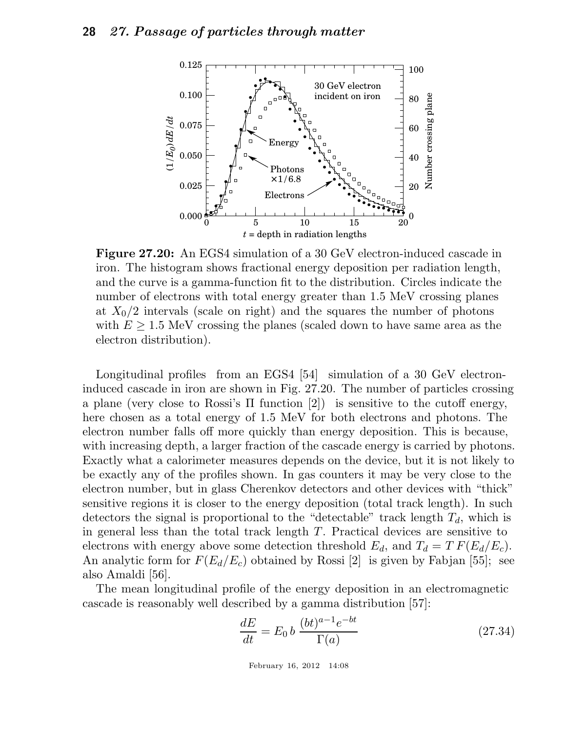

Figure 27.20: An EGS4 simulation of a 30 GeV electron-induced cascade in iron. The histogram shows fractional energy deposition per radiation length, and the curve is a gamma-function fit to the distribution. Circles indicate the number of electrons with total energy greater than 1.5 MeV crossing planes at  $X_0/2$  intervals (scale on right) and the squares the number of photons with  $E \geq 1.5$  MeV crossing the planes (scaled down to have same area as the electron distribution).

Longitudinal profiles from an EGS4 [54] simulation of a 30 GeV electroninduced cascade in iron are shown in Fig. 27.20. The number of particles crossing a plane (very close to Rossi's  $\Pi$  function [2]) is sensitive to the cutoff energy, here chosen as a total energy of 1.5 MeV for both electrons and photons. The electron number falls off more quickly than energy deposition. This is because, with increasing depth, a larger fraction of the cascade energy is carried by photons. Exactly what a calorimeter measures depends on the device, but it is not likely to be exactly any of the profiles shown. In gas counters it may be very close to the electron number, but in glass Cherenkov detectors and other devices with "thick" sensitive regions it is closer to the energy deposition (total track length). In such detectors the signal is proportional to the "detectable" track length  $T_d$ , which is in general less than the total track length T. Practical devices are sensitive to electrons with energy above some detection threshold  $E_d$ , and  $T_d = T F(E_d/E_c)$ . An analytic form for  $F(E_d/E_c)$  obtained by Rossi [2] is given by Fabjan [55]; see also Amaldi [56].

The mean longitudinal profile of the energy deposition in an electromagnetic cascade is reasonably well described by a gamma distribution [57]:

$$
\frac{dE}{dt} = E_0 b \frac{(bt)^{a-1}e^{-bt}}{\Gamma(a)}\tag{27.34}
$$

February 16, 2012 14:08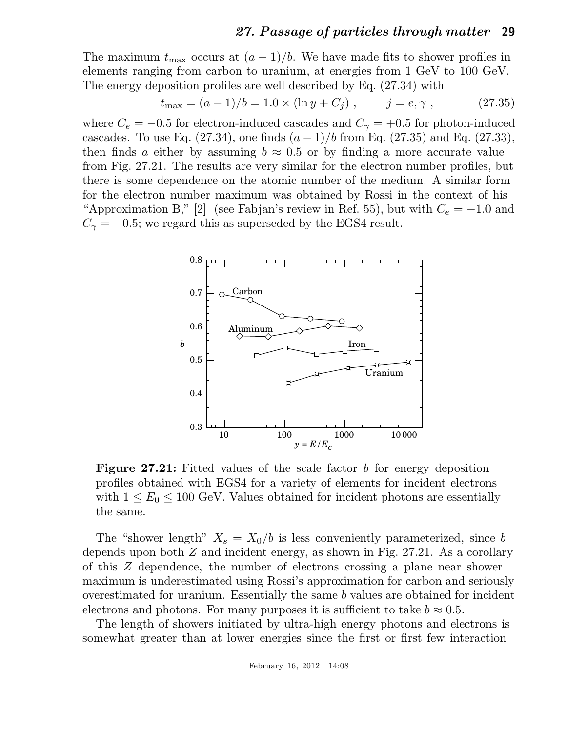The maximum  $t_{\text{max}}$  occurs at  $(a-1)/b$ . We have made fits to shower profiles in elements ranging from carbon to uranium, at energies from 1 GeV to 100 GeV. The energy deposition profiles are well described by Eq. (27.34) with

$$
t_{\text{max}} = (a-1)/b = 1.0 \times (\ln y + C_j), \qquad j = e, \gamma, \qquad (27.35)
$$

where  $C_e = -0.5$  for electron-induced cascades and  $C_{\gamma} = +0.5$  for photon-induced cascades. To use Eq.  $(27.34)$ , one finds  $(a-1)/b$  from Eq.  $(27.35)$  and Eq.  $(27.33)$ , then finds a either by assuming  $b \approx 0.5$  or by finding a more accurate value from Fig. 27.21. The results are very similar for the electron number profiles, but there is some dependence on the atomic number of the medium. A similar form for the electron number maximum was obtained by Rossi in the context of his "Approximation B," [2] (see Fabjan's review in Ref. 55), but with  $C_e = -1.0$  and  $C_{\gamma} = -0.5$ ; we regard this as superseded by the EGS4 result.



Figure 27.21: Fitted values of the scale factor b for energy deposition profiles obtained with EGS4 for a variety of elements for incident electrons with  $1 \leq E_0 \leq 100$  GeV. Values obtained for incident photons are essentially the same.

The "shower length"  $X_s = X_0/b$  is less conveniently parameterized, since b depends upon both Z and incident energy, as shown in Fig. 27.21. As a corollary of this Z dependence, the number of electrons crossing a plane near shower maximum is underestimated using Rossi's approximation for carbon and seriously overestimated for uranium. Essentially the same b values are obtained for incident electrons and photons. For many purposes it is sufficient to take  $b \approx 0.5$ .

The length of showers initiated by ultra-high energy photons and electrons is somewhat greater than at lower energies since the first or first few interaction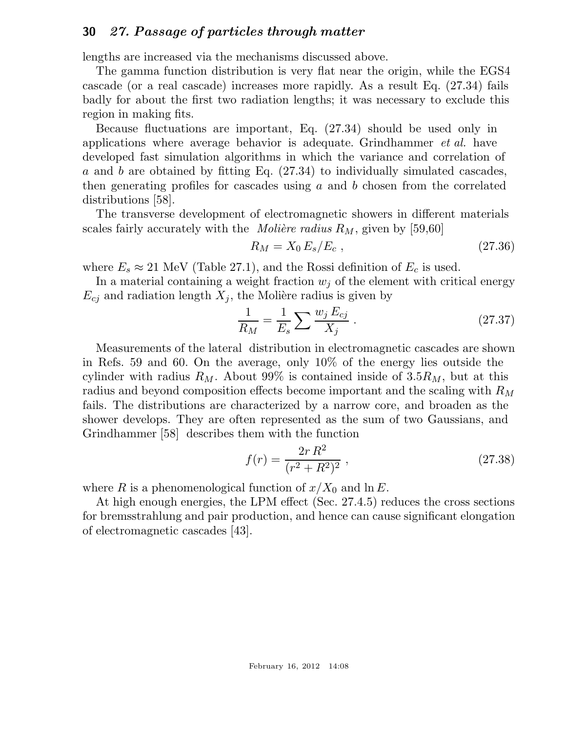lengths are increased via the mechanisms discussed above.

The gamma function distribution is very flat near the origin, while the EGS4 cascade (or a real cascade) increases more rapidly. As a result Eq. (27.34) fails badly for about the first two radiation lengths; it was necessary to exclude this region in making fits.

Because fluctuations are important, Eq. (27.34) should be used only in applications where average behavior is adequate. Grindhammer *et al.* have developed fast simulation algorithms in which the variance and correlation of a and b are obtained by fitting Eq. (27.34) to individually simulated cascades, then generating profiles for cascades using  $a$  and  $b$  chosen from the correlated distributions [58].

The transverse development of electromagnetic showers in different materials scales fairly accurately with the *Molière radius*  $R_M$ , given by [59,60]

$$
R_M = X_0 \, E_s / E_c \,, \tag{27.36}
$$

where  $E_s \approx 21$  MeV (Table 27.1), and the Rossi definition of  $E_c$  is used.

In a material containing a weight fraction  $w_j$  of the element with critical energy  $E_{cj}$  and radiation length  $X_j$ , the Molière radius is given by

$$
\frac{1}{R_M} = \frac{1}{E_s} \sum \frac{w_j E_{cj}}{X_j} \,. \tag{27.37}
$$

Measurements of the lateral distribution in electromagnetic cascades are shown in Refs. 59 and 60. On the average, only 10% of the energy lies outside the cylinder with radius  $R_M$ . About 99% is contained inside of 3.5 $R_M$ , but at this radius and beyond composition effects become important and the scaling with  $R_M$ fails. The distributions are characterized by a narrow core, and broaden as the shower develops. They are often represented as the sum of two Gaussians, and Grindhammer [58] describes them with the function

$$
f(r) = \frac{2r R^2}{(r^2 + R^2)^2} \,, \tag{27.38}
$$

where R is a phenomenological function of  $x/X_0$  and  $\ln E$ .

At high enough energies, the LPM effect (Sec. 27.4.5) reduces the cross sections for bremsstrahlung and pair production, and hence can cause significant elongation of electromagnetic cascades [43].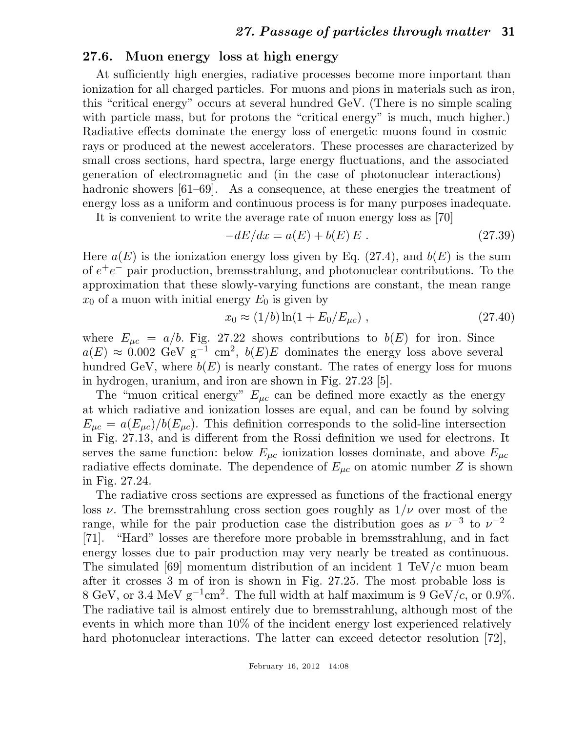## 27.6. Muon energy loss at high energy

At sufficiently high energies, radiative processes become more important than ionization for all charged particles. For muons and pions in materials such as iron, this "critical energy" occurs at several hundred GeV. (There is no simple scaling with particle mass, but for protons the "critical energy" is much, much higher.) Radiative effects dominate the energy loss of energetic muons found in cosmic rays or produced at the newest accelerators. These processes are characterized by small cross sections, hard spectra, large energy fluctuations, and the associated generation of electromagnetic and (in the case of photonuclear interactions) hadronic showers [61–69]. As a consequence, at these energies the treatment of energy loss as a uniform and continuous process is for many purposes inadequate.

It is convenient to write the average rate of muon energy loss as [70]

$$
-dE/dx = a(E) + b(E) E.
$$
 (27.39)

Here  $a(E)$  is the ionization energy loss given by Eq. (27.4), and  $b(E)$  is the sum of  $e^+e^-$  pair production, bremsstrahlung, and photonuclear contributions. To the approximation that these slowly-varying functions are constant, the mean range  $x_0$  of a muon with initial energy  $E_0$  is given by

$$
x_0 \approx (1/b) \ln(1 + E_0/E_{\mu c}) \,, \tag{27.40}
$$

where  $E_{\mu c} = a/b$ . Fig. 27.22 shows contributions to  $b(E)$  for iron. Since  $a(E) \approx 0.002 \text{ GeV g}^{-1} \text{ cm}^2$ ,  $b(E)E$  dominates the energy loss above several hundred GeV, where  $b(E)$  is nearly constant. The rates of energy loss for muons in hydrogen, uranium, and iron are shown in Fig. 27.23 [5].

The "muon critical energy"  $E_{\mu c}$  can be defined more exactly as the energy at which radiative and ionization losses are equal, and can be found by solving  $E_{\mu c} = a(E_{\mu c})/b(E_{\mu c})$ . This definition corresponds to the solid-line intersection in Fig. 27.13, and is different from the Rossi definition we used for electrons. It serves the same function: below  $E_{\mu c}$  ionization losses dominate, and above  $E_{\mu c}$ radiative effects dominate. The dependence of  $E_{\mu c}$  on atomic number Z is shown in Fig. 27.24.

The radiative cross sections are expressed as functions of the fractional energy loss  $\nu$ . The bremsstrahlung cross section goes roughly as  $1/\nu$  over most of the range, while for the pair production case the distribution goes as  $\nu^{-3}$  to  $\nu^{-2}$ [71]. "Hard" losses are therefore more probable in bremsstrahlung, and in fact energy losses due to pair production may very nearly be treated as continuous. The simulated [69] momentum distribution of an incident  $1 \text{ TeV}/c$  muon beam after it crosses 3 m of iron is shown in Fig. 27.25. The most probable loss is 8 GeV, or 3.4 MeV  $g^{-1}$ cm<sup>2</sup>. The full width at half maximum is 9 GeV/c, or 0.9%. The radiative tail is almost entirely due to bremsstrahlung, although most of the events in which more than 10% of the incident energy lost experienced relatively hard photonuclear interactions. The latter can exceed detector resolution [72],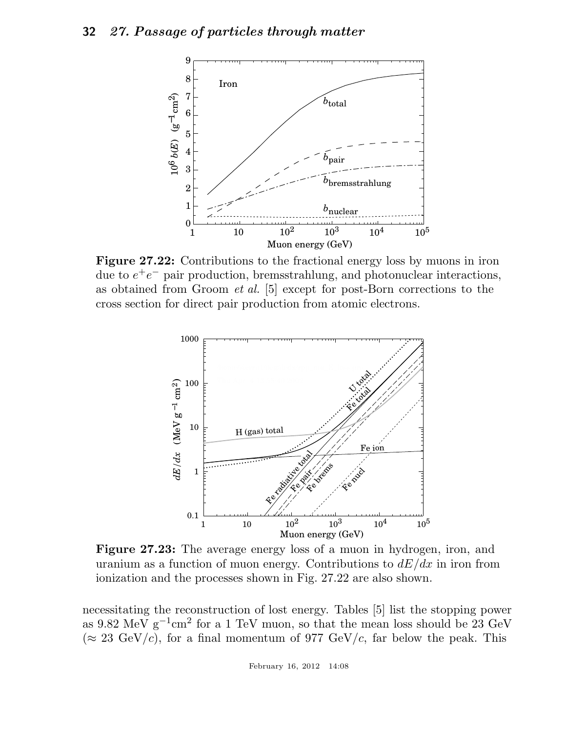

Figure 27.22: Contributions to the fractional energy loss by muons in iron due to  $e^+e^-$  pair production, bremsstrahlung, and photonuclear interactions, as obtained from Groom *et al.* [5] except for post-Born corrections to the cross section for direct pair production from atomic electrons.



Figure 27.23: The average energy loss of a muon in hydrogen, iron, and uranium as a function of muon energy. Contributions to  $dE/dx$  in iron from ionization and the processes shown in Fig. 27.22 are also shown.

necessitating the reconstruction of lost energy. Tables [5] list the stopping power as 9.82 MeV  $g^{-1}$ cm<sup>2</sup> for a 1 TeV muon, so that the mean loss should be 23 GeV  $(\approx 23 \text{ GeV}/c)$ , for a final momentum of 977 GeV/c, far below the peak. This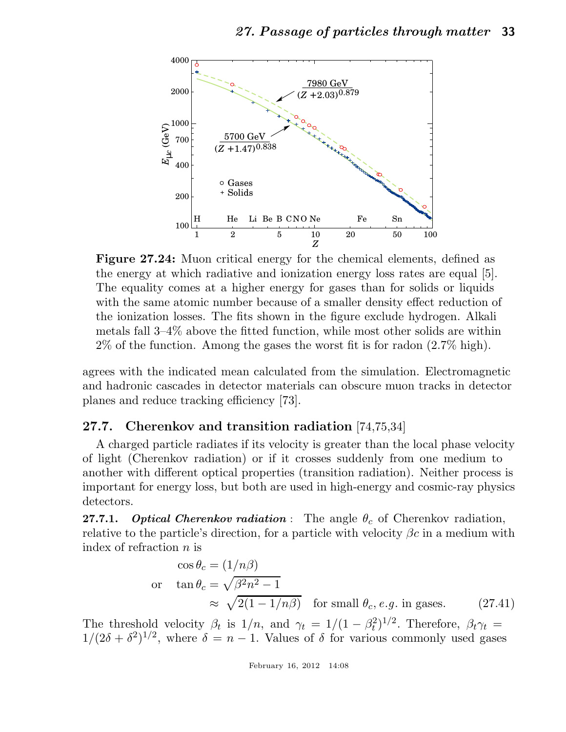

Figure 27.24: Muon critical energy for the chemical elements, defined as the energy at which radiative and ionization energy loss rates are equal [5]. The equality comes at a higher energy for gases than for solids or liquids with the same atomic number because of a smaller density effect reduction of the ionization losses. The fits shown in the figure exclude hydrogen. Alkali metals fall 3–4% above the fitted function, while most other solids are within 2% of the function. Among the gases the worst fit is for radon (2.7% high).

agrees with the indicated mean calculated from the simulation. Electromagnetic and hadronic cascades in detector materials can obscure muon tracks in detector planes and reduce tracking efficiency [73].

## 27.7. Cherenkov and transition radiation [74,75,34]

A charged particle radiates if its velocity is greater than the local phase velocity of light (Cherenkov radiation) or if it crosses suddenly from one medium to another with different optical properties (transition radiation). Neither process is important for energy loss, but both are used in high-energy and cosmic-ray physics detectors.

**27.7.1.** Optical Cherenkov radiation : The angle  $\theta_c$  of Cherenkov radiation, relative to the particle's direction, for a particle with velocity  $\beta c$  in a medium with index of refraction  $n$  is

$$
\cos \theta_c = (1/n\beta)
$$
  
or  $\tan \theta_c = \sqrt{\beta^2 n^2 - 1}$   
 $\approx \sqrt{2(1 - 1/n\beta)}$  for small  $\theta_c$ , *e.g.* in gases. (27.41)

The threshold velocity  $\beta_t$  is  $1/n$ , and  $\gamma_t = 1/(1 - \beta_t^2)$  $(t_t^2)^{1/2}$ . Therefore,  $\beta_t \gamma_t =$  $1/(2\delta + \delta^2)^{1/2}$ , where  $\delta = n - 1$ . Values of  $\delta$  for various commonly used gases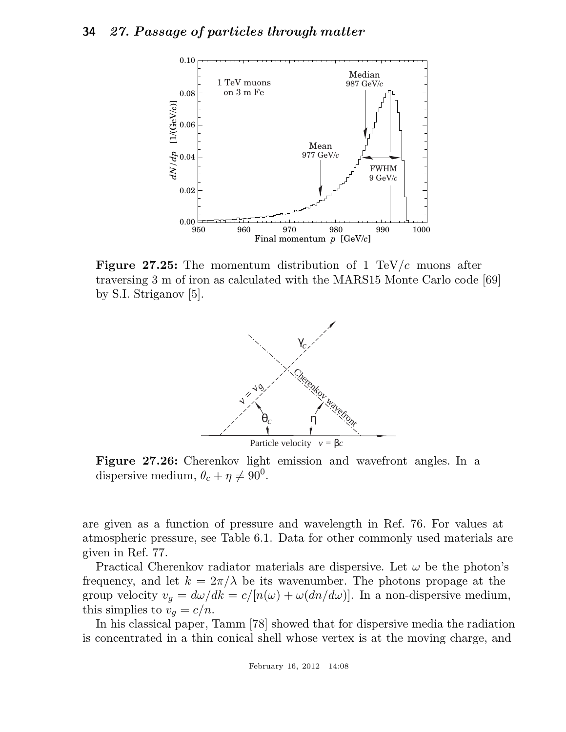

**Figure 27.25:** The momentum distribution of 1 TeV/c muons after traversing 3 m of iron as calculated with the MARS15 Monte Carlo code [69] by S.I. Striganov [5].



Figure 27.26: Cherenkov light emission and wavefront angles. In a dispersive medium,  $\theta_c + \eta \neq 90^0$ .

are given as a function of pressure and wavelength in Ref. 76. For values at atmospheric pressure, see Table 6.1. Data for other commonly used materials are given in Ref. 77.

Practical Cherenkov radiator materials are dispersive. Let  $\omega$  be the photon's frequency, and let  $k = 2\pi/\lambda$  be its wavenumber. The photons propage at the group velocity  $v_g = d\omega/dk = c/[n(\omega) + \omega(dn/d\omega)]$ . In a non-dispersive medium, this simplies to  $v_q = c/n$ .

In his classical paper, Tamm [78] showed that for dispersive media the radiation is concentrated in a thin conical shell whose vertex is at the moving charge, and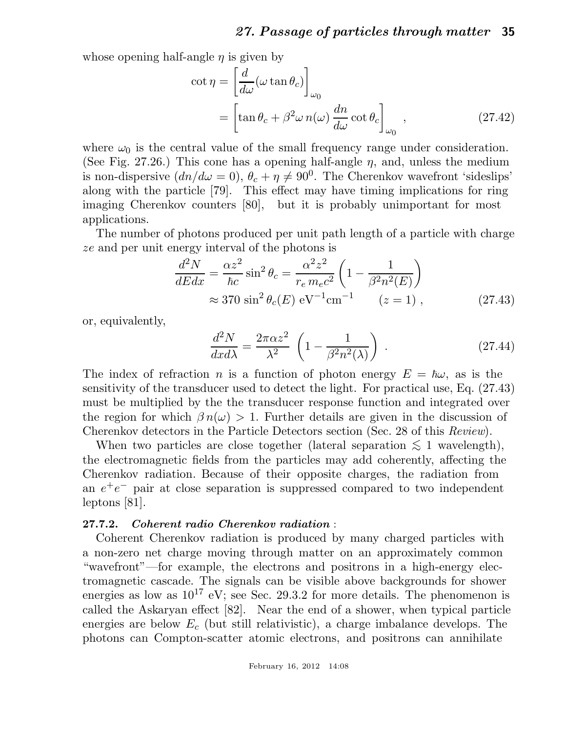whose opening half-angle  $\eta$  is given by

$$
\cot \eta = \left[\frac{d}{d\omega}(\omega \tan \theta_c)\right]_{\omega_0}
$$
  
= 
$$
\left[\tan \theta_c + \beta^2 \omega n(\omega) \frac{dn}{d\omega} \cot \theta_c\right]_{\omega_0},
$$
 (27.42)

where  $\omega_0$  is the central value of the small frequency range under consideration. (See Fig. 27.26.) This cone has a opening half-angle  $\eta$ , and, unless the medium is non-dispersive  $dn/d\omega = 0$ ,  $\theta_c + \eta \neq 90^0$ . The Cherenkov wavefront 'sideslips' along with the particle [79]. This effect may have timing implications for ring imaging Cherenkov counters [80], but it is probably unimportant for most applications.

The number of photons produced per unit path length of a particle with charge ze and per unit energy interval of the photons is

$$
\frac{d^2N}{dEdx} = \frac{\alpha z^2}{\hbar c} \sin^2 \theta_c = \frac{\alpha^2 z^2}{r_e m_e c^2} \left( 1 - \frac{1}{\beta^2 n^2(E)} \right)
$$
  

$$
\approx 370 \sin^2 \theta_c(E) \text{ eV}^{-1} \text{cm}^{-1} \qquad (z = 1) ,
$$
 (27.43)

or, equivalently,

$$
\frac{d^2N}{dx d\lambda} = \frac{2\pi\alpha z^2}{\lambda^2} \left(1 - \frac{1}{\beta^2 n^2(\lambda)}\right) .
$$
 (27.44)

The index of refraction n is a function of photon energy  $E = \hbar \omega$ , as is the sensitivity of the transducer used to detect the light. For practical use, Eq. (27.43) must be multiplied by the the transducer response function and integrated over the region for which  $\beta n(\omega) > 1$ . Further details are given in the discussion of Cherenkov detectors in the Particle Detectors section (Sec. 28 of this *Review*).

When two particles are close together (lateral separation  $\leq 1$  wavelength), the electromagnetic fields from the particles may add coherently, affecting the Cherenkov radiation. Because of their opposite charges, the radiation from an  $e^+e^-$  pair at close separation is suppressed compared to two independent leptons [81].

#### 27.7.2. Coherent radio Cherenkov radiation :

Coherent Cherenkov radiation is produced by many charged particles with a non-zero net charge moving through matter on an approximately common "wavefront"—for example, the electrons and positrons in a high-energy electromagnetic cascade. The signals can be visible above backgrounds for shower energies as low as  $10^{17}$  eV; see Sec. 29.3.2 for more details. The phenomenon is called the Askaryan effect [82]. Near the end of a shower, when typical particle energies are below  $E_c$  (but still relativistic), a charge imbalance develops. The photons can Compton-scatter atomic electrons, and positrons can annihilate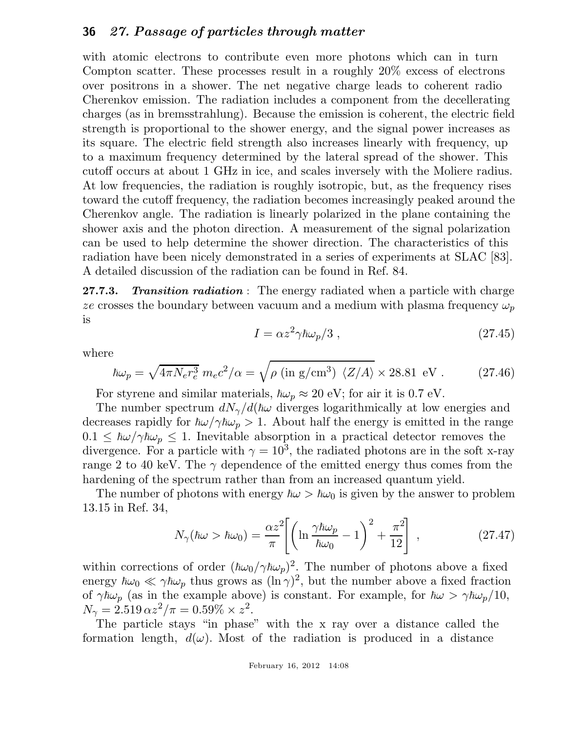with atomic electrons to contribute even more photons which can in turn Compton scatter. These processes result in a roughly 20% excess of electrons over positrons in a shower. The net negative charge leads to coherent radio Cherenkov emission. The radiation includes a component from the decellerating charges (as in bremsstrahlung). Because the emission is coherent, the electric field strength is proportional to the shower energy, and the signal power increases as its square. The electric field strength also increases linearly with frequency, up to a maximum frequency determined by the lateral spread of the shower. This cutoff occurs at about 1 GHz in ice, and scales inversely with the Moliere radius. At low frequencies, the radiation is roughly isotropic, but, as the frequency rises toward the cutoff frequency, the radiation becomes increasingly peaked around the Cherenkov angle. The radiation is linearly polarized in the plane containing the shower axis and the photon direction. A measurement of the signal polarization can be used to help determine the shower direction. The characteristics of this radiation have been nicely demonstrated in a series of experiments at SLAC [83]. A detailed discussion of the radiation can be found in Ref. 84.

27.7.3. Transition radiation : The energy radiated when a particle with charge ze crosses the boundary between vacuum and a medium with plasma frequency  $\omega_p$ is

$$
I = \alpha z^2 \gamma \hbar \omega_p / 3 \;, \tag{27.45}
$$

where

$$
\hbar\omega_p = \sqrt{4\pi N_e r_e^3} \ m_e c^2/\alpha = \sqrt{\rho \text{ (in g/cm}^3) \langle Z/A \rangle} \times 28.81 \text{ eV} . \tag{27.46}
$$

For styrene and similar materials,  $\hbar\omega_p \approx 20$  eV; for air it is 0.7 eV.

The number spectrum  $dN_{\gamma}/d(\hbar\omega)$  diverges logarithmically at low energies and decreases rapidly for  $\hbar\omega/\gamma\hbar\omega_p > 1$ . About half the energy is emitted in the range  $0.1 \leq \hbar \omega / \gamma \hbar \omega_p \leq 1$ . Inevitable absorption in a practical detector removes the divergence. For a particle with  $\gamma = 10^3$ , the radiated photons are in the soft x-ray range 2 to 40 keV. The  $\gamma$  dependence of the emitted energy thus comes from the hardening of the spectrum rather than from an increased quantum yield.

The number of photons with energy  $\hbar\omega > \hbar\omega_0$  is given by the answer to problem 13.15 in Ref. 34,

$$
N_{\gamma}(\hbar\omega > \hbar\omega_0) = \frac{\alpha z^2}{\pi} \left[ \left( \ln \frac{\gamma \hbar \omega_p}{\hbar \omega_0} - 1 \right)^2 + \frac{\pi^2}{12} \right] , \qquad (27.47)
$$

within corrections of order  $(\hbar\omega_0/\gamma\hbar\omega_p)^2$ . The number of photons above a fixed energy  $\hbar\omega_0 \ll \gamma\hbar\omega_p$  thus grows as  $(\ln \gamma)^2$ , but the number above a fixed fraction of  $\gamma \hbar \omega_p$  (as in the example above) is constant. For example, for  $\hbar \omega > \gamma \hbar \omega_p/10$ ,  $N_{\gamma} = 2.519 \,\alpha z^2/\pi = 0.59\% \times z^2.$ 

The particle stays "in phase" with the x ray over a distance called the formation length,  $d(\omega)$ . Most of the radiation is produced in a distance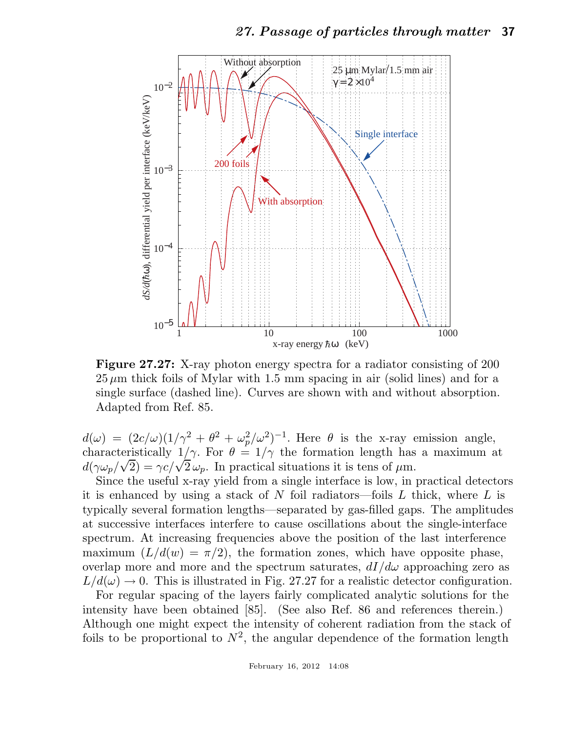

Figure 27.27: X-ray photon energy spectra for a radiator consisting of 200  $25 \mu m$  thick foils of Mylar with 1.5 mm spacing in air (solid lines) and for a single surface (dashed line). Curves are shown with and without absorption. Adapted from Ref. 85.

 $d(\omega) = (2c/\omega)(1/\gamma^2 + \theta^2 + \omega_p^2/\omega^2)^{-1}$ . Here  $\theta$  is the x-ray emission angle, characteristically  $1/\gamma$ . For  $\theta = 1/\gamma$  the formation length has a maximum at  $d(\gamma \omega_p/\sqrt{2}) = \gamma c/\sqrt{2} \omega_p$ . In practical situations it is tens of  $\mu$ m.

Since the useful x-ray yield from a single interface is low, in practical detectors it is enhanced by using a stack of N foil radiators—foils  $L$  thick, where  $L$  is typically several formation lengths—separated by gas-filled gaps. The amplitudes at successive interfaces interfere to cause oscillations about the single-interface spectrum. At increasing frequencies above the position of the last interference maximum  $(L/d(w) = \pi/2)$ , the formation zones, which have opposite phase, overlap more and more and the spectrum saturates,  $dI/d\omega$  approaching zero as  $L/d(\omega) \rightarrow 0$ . This is illustrated in Fig. 27.27 for a realistic detector configuration.

For regular spacing of the layers fairly complicated analytic solutions for the intensity have been obtained [85]. (See also Ref. 86 and references therein.) Although one might expect the intensity of coherent radiation from the stack of foils to be proportional to  $N^2$ , the angular dependence of the formation length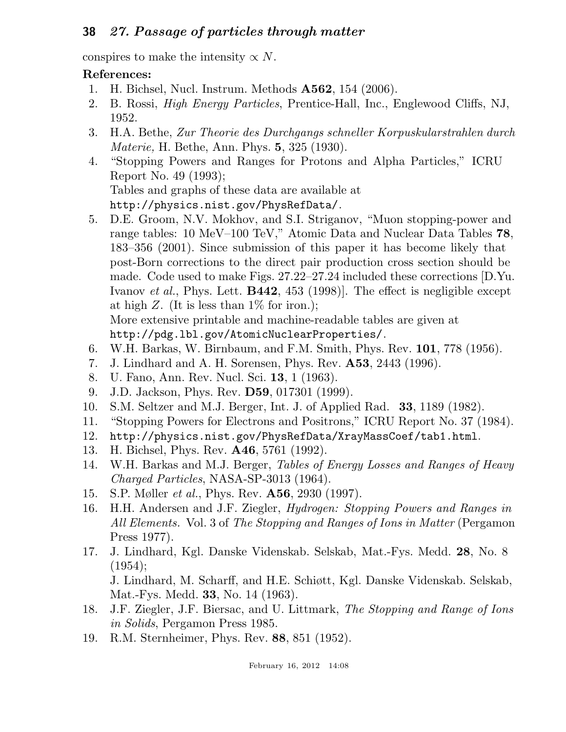conspires to make the intensity  $\propto N$ .

## References:

- 1. H. Bichsel, Nucl. Instrum. Methods A562, 154 (2006).
- 2. B. Rossi, *High Energy Particles*, Prentice-Hall, Inc., Englewood Cliffs, NJ, 1952.
- 3. H.A. Bethe, *Zur Theorie des Durchgangs schneller Korpuskularstrahlen durch Materie,* H. Bethe, Ann. Phys. 5, 325 (1930).
- 4. "Stopping Powers and Ranges for Protons and Alpha Particles," ICRU Report No. 49 (1993); Tables and graphs of these data are available at http://physics.nist.gov/PhysRefData/.
- 5. D.E. Groom, N.V. Mokhov, and S.I. Striganov, "Muon stopping-power and range tables: 10 MeV–100 TeV," Atomic Data and Nuclear Data Tables 78, 183–356 (2001). Since submission of this paper it has become likely that post-Born corrections to the direct pair production cross section should be made. Code used to make Figs. 27.22–27.24 included these corrections [D.Yu. Ivanov *et al.*, Phys. Lett. B442, 453 (1998)]. The effect is negligible except at high  $Z$ . (It is less than  $1\%$  for iron.); More extensive printable and machine-readable tables are given at http://pdg.lbl.gov/AtomicNuclearProperties/.
- 6. W.H. Barkas, W. Birnbaum, and F.M. Smith, Phys. Rev. 101, 778 (1956).
- 7. J. Lindhard and A. H. Sorensen, Phys. Rev. A53, 2443 (1996).
- 8. U. Fano, Ann. Rev. Nucl. Sci. 13, 1 (1963).
- 9. J.D. Jackson, Phys. Rev. D59, 017301 (1999).
- 10. S.M. Seltzer and M.J. Berger, Int. J. of Applied Rad. 33, 1189 (1982).
- 11. "Stopping Powers for Electrons and Positrons," ICRU Report No. 37 (1984).
- 12. http://physics.nist.gov/PhysRefData/XrayMassCoef/tab1.html.
- 13. H. Bichsel, Phys. Rev. A46, 5761 (1992).
- 14. W.H. Barkas and M.J. Berger, *Tables of Energy Losses and Ranges of Heavy Charged Particles*, NASA-SP-3013 (1964).
- 15. S.P. Møller *et al.*, Phys. Rev. A56, 2930 (1997).
- 16. H.H. Andersen and J.F. Ziegler, *Hydrogen: Stopping Powers and Ranges in All Elements.* Vol. 3 of *The Stopping and Ranges of Ions in Matter* (Pergamon Press 1977).
- 17. J. Lindhard, Kgl. Danske Videnskab. Selskab, Mat.-Fys. Medd. 28, No. 8  $(1954);$ J. Lindhard, M. Scharff, and H.E. Schiøtt, Kgl. Danske Videnskab. Selskab,

Mat.-Fys. Medd. 33, No. 14 (1963).

- 18. J.F. Ziegler, J.F. Biersac, and U. Littmark, *The Stopping and Range of Ions in Solids*, Pergamon Press 1985.
- 19. R.M. Sternheimer, Phys. Rev. 88, 851 (1952).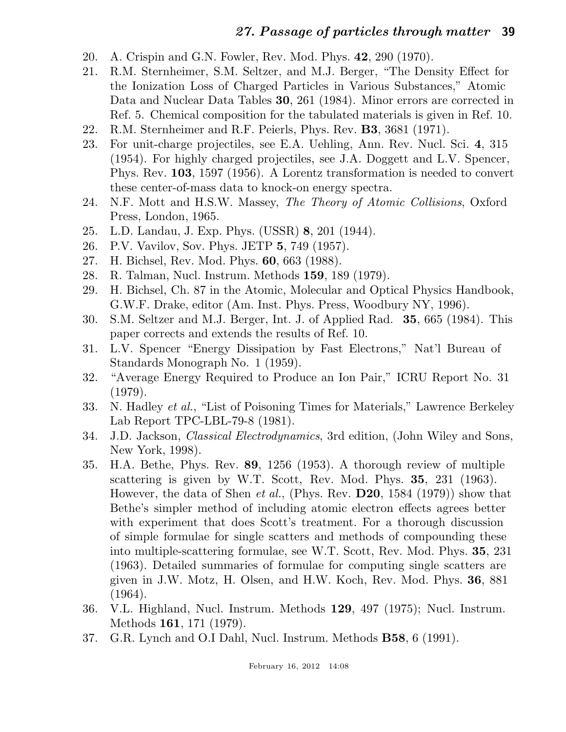- 20. A. Crispin and G.N. Fowler, Rev. Mod. Phys. 42, 290 (1970).
- 21. R.M. Sternheimer, S.M. Seltzer, and M.J. Berger, "The Density Effect for the Ionization Loss of Charged Particles in Various Substances," Atomic Data and Nuclear Data Tables 30, 261 (1984). Minor errors are corrected in Ref. 5. Chemical composition for the tabulated materials is given in Ref. 10.
- 22. R.M. Sternheimer and R.F. Peierls, Phys. Rev. B3, 3681 (1971).
- 23. For unit-charge projectiles, see E.A. Uehling, Ann. Rev. Nucl. Sci. 4, 315 (1954). For highly charged projectiles, see J.A. Doggett and L.V. Spencer, Phys. Rev. 103, 1597 (1956). A Lorentz transformation is needed to convert these center-of-mass data to knock-on energy spectra.
- 24. N.F. Mott and H.S.W. Massey, *The Theory of Atomic Collisions*, Oxford Press, London, 1965.
- 25. L.D. Landau, J. Exp. Phys. (USSR) 8, 201 (1944).
- 26. P.V. Vavilov, Sov. Phys. JETP 5, 749 (1957).
- 27. H. Bichsel, Rev. Mod. Phys. 60, 663 (1988).
- 28. R. Talman, Nucl. Instrum. Methods 159, 189 (1979).
- 29. H. Bichsel, Ch. 87 in the Atomic, Molecular and Optical Physics Handbook, G.W.F. Drake, editor (Am. Inst. Phys. Press, Woodbury NY, 1996).
- 30. S.M. Seltzer and M.J. Berger, Int. J. of Applied Rad. 35, 665 (1984). This paper corrects and extends the results of Ref. 10.
- 31. L.V. Spencer "Energy Dissipation by Fast Electrons," Nat'l Bureau of Standards Monograph No. 1 (1959).
- 32. "Average Energy Required to Produce an Ion Pair," ICRU Report No. 31 (1979).
- 33. N. Hadley *et al.*, "List of Poisoning Times for Materials," Lawrence Berkeley Lab Report TPC-LBL-79-8 (1981).
- 34. J.D. Jackson, *Classical Electrodynamics*, 3rd edition, (John Wiley and Sons, New York, 1998).
- 35. H.A. Bethe, Phys. Rev. 89, 1256 (1953). A thorough review of multiple scattering is given by W.T. Scott, Rev. Mod. Phys. 35, 231 (1963). However, the data of Shen *et al.*, (Phys. Rev. D20, 1584 (1979)) show that Bethe's simpler method of including atomic electron effects agrees better with experiment that does Scott's treatment. For a thorough discussion of simple formulae for single scatters and methods of compounding these into multiple-scattering formulae, see W.T. Scott, Rev. Mod. Phys. 35, 231 (1963). Detailed summaries of formulae for computing single scatters are given in J.W. Motz, H. Olsen, and H.W. Koch, Rev. Mod. Phys. 36, 881 (1964).
- 36. V.L. Highland, Nucl. Instrum. Methods 129, 497 (1975); Nucl. Instrum. Methods 161, 171 (1979).
- 37. G.R. Lynch and O.I Dahl, Nucl. Instrum. Methods B58, 6 (1991).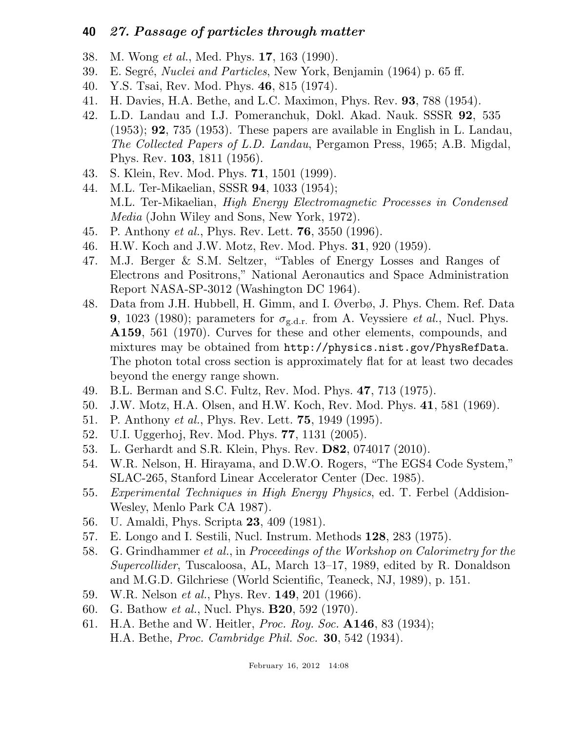- 38. M. Wong *et al.*, Med. Phys. 17, 163 (1990).
- 39. E. Segr´e, *Nuclei and Particles*, New York, Benjamin (1964) p. 65 ff.
- 40. Y.S. Tsai, Rev. Mod. Phys. 46, 815 (1974).
- 41. H. Davies, H.A. Bethe, and L.C. Maximon, Phys. Rev. 93, 788 (1954).
- 42. L.D. Landau and I.J. Pomeranchuk, Dokl. Akad. Nauk. SSSR 92, 535 (1953); 92, 735 (1953). These papers are available in English in L. Landau, *The Collected Papers of L.D. Landau*, Pergamon Press, 1965; A.B. Migdal, Phys. Rev. 103, 1811 (1956).
- 43. S. Klein, Rev. Mod. Phys. 71, 1501 (1999).
- 44. M.L. Ter-Mikaelian, SSSR 94, 1033 (1954); M.L. Ter-Mikaelian, *High Energy Electromagnetic Processes in Condensed Media* (John Wiley and Sons, New York, 1972).
- 45. P. Anthony *et al.*, Phys. Rev. Lett. 76, 3550 (1996).
- 46. H.W. Koch and J.W. Motz, Rev. Mod. Phys. 31, 920 (1959).
- 47. M.J. Berger & S.M. Seltzer, "Tables of Energy Losses and Ranges of Electrons and Positrons," National Aeronautics and Space Administration Report NASA-SP-3012 (Washington DC 1964).
- 48. Data from J.H. Hubbell, H. Gimm, and I. Øverbø, J. Phys. Chem. Ref. Data **9**, 1023 (1980); parameters for  $\sigma_{g.d.r.}$  from A. Veyssiere *et al.*, Nucl. Phys. A159, 561 (1970). Curves for these and other elements, compounds, and mixtures may be obtained from http://physics.nist.gov/PhysRefData. The photon total cross section is approximately flat for at least two decades beyond the energy range shown.
- 49. B.L. Berman and S.C. Fultz, Rev. Mod. Phys. 47, 713 (1975).
- 50. J.W. Motz, H.A. Olsen, and H.W. Koch, Rev. Mod. Phys. 41, 581 (1969).
- 51. P. Anthony *et al.*, Phys. Rev. Lett. 75, 1949 (1995).
- 52. U.I. Uggerhoj, Rev. Mod. Phys. 77, 1131 (2005).
- 53. L. Gerhardt and S.R. Klein, Phys. Rev. D82, 074017 (2010).
- 54. W.R. Nelson, H. Hirayama, and D.W.O. Rogers, "The EGS4 Code System," SLAC-265, Stanford Linear Accelerator Center (Dec. 1985).
- 55. *Experimental Techniques in High Energy Physics*, ed. T. Ferbel (Addision-Wesley, Menlo Park CA 1987).
- 56. U. Amaldi, Phys. Scripta 23, 409 (1981).
- 57. E. Longo and I. Sestili, Nucl. Instrum. Methods 128, 283 (1975).
- 58. G. Grindhammer *et al.*, in *Proceedings of the Workshop on Calorimetry for the Supercollider*, Tuscaloosa, AL, March 13–17, 1989, edited by R. Donaldson and M.G.D. Gilchriese (World Scientific, Teaneck, NJ, 1989), p. 151.
- 59. W.R. Nelson *et al.*, Phys. Rev. 149, 201 (1966).
- 60. G. Bathow *et al.*, Nucl. Phys. B20, 592 (1970).
- 61. H.A. Bethe and W. Heitler, *Proc. Roy. Soc.* A146, 83 (1934); H.A. Bethe, *Proc. Cambridge Phil. Soc.* 30, 542 (1934).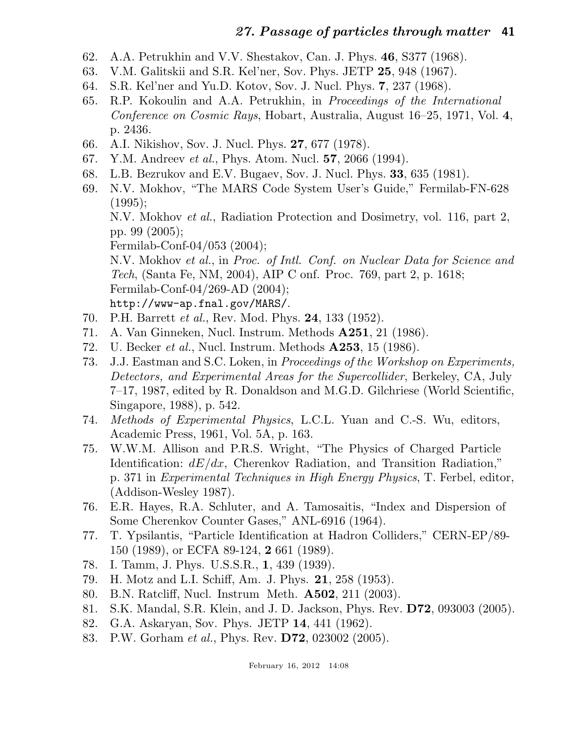- 62. A.A. Petrukhin and V.V. Shestakov, Can. J. Phys. 46, S377 (1968).
- 63. V.M. Galitskii and S.R. Kel'ner, Sov. Phys. JETP 25, 948 (1967).
- 64. S.R. Kel'ner and Yu.D. Kotov, Sov. J. Nucl. Phys. 7, 237 (1968).
- 65. R.P. Kokoulin and A.A. Petrukhin, in *Proceedings of the International Conference on Cosmic Rays*, Hobart, Australia, August 16–25, 1971, Vol. 4, p. 2436.
- 66. A.I. Nikishov, Sov. J. Nucl. Phys. 27, 677 (1978).
- 67. Y.M. Andreev *et al.*, Phys. Atom. Nucl. 57, 2066 (1994).
- 68. L.B. Bezrukov and E.V. Bugaev, Sov. J. Nucl. Phys. 33, 635 (1981).
- 69. N.V. Mokhov, "The MARS Code System User's Guide," Fermilab-FN-628  $(1995);$

N.V. Mokhov *et al.*, Radiation Protection and Dosimetry, vol. 116, part 2, pp. 99 (2005);

Fermilab-Conf-04/053 (2004);

N.V. Mokhov *et al.*, in *Proc. of Intl. Conf. on Nuclear Data for Science and Tech*, (Santa Fe, NM, 2004), AIP C onf. Proc. 769, part 2, p. 1618; Fermilab-Conf-04/269-AD (2004); http://www-ap.fnal.gov/MARS/.

- 70. P.H. Barrett *et al.*, Rev. Mod. Phys. 24, 133 (1952).
- 71. A. Van Ginneken, Nucl. Instrum. Methods A251, 21 (1986).
- 72. U. Becker *et al.*, Nucl. Instrum. Methods A253, 15 (1986).
- 73. J.J. Eastman and S.C. Loken, in *Proceedings of the Workshop on Experiments, Detectors, and Experimental Areas for the Supercollider*, Berkeley, CA, July 7–17, 1987, edited by R. Donaldson and M.G.D. Gilchriese (World Scientific, Singapore, 1988), p. 542.
- 74. *Methods of Experimental Physics*, L.C.L. Yuan and C.-S. Wu, editors, Academic Press, 1961, Vol. 5A, p. 163.
- 75. W.W.M. Allison and P.R.S. Wright, "The Physics of Charged Particle Identification:  $dE/dx$ , Cherenkov Radiation, and Transition Radiation," p. 371 in *Experimental Techniques in High Energy Physics*, T. Ferbel, editor, (Addison-Wesley 1987).
- 76. E.R. Hayes, R.A. Schluter, and A. Tamosaitis, "Index and Dispersion of Some Cherenkov Counter Gases," ANL-6916 (1964).
- 77. T. Ypsilantis, "Particle Identification at Hadron Colliders," CERN-EP/89- 150 (1989), or ECFA 89-124, 2 661 (1989).
- 78. I. Tamm, J. Phys. U.S.S.R., 1, 439 (1939).
- 79. H. Motz and L.I. Schiff, Am. J. Phys. 21, 258 (1953).
- 80. B.N. Ratcliff, Nucl. Instrum Meth. A502, 211 (2003).
- 81. S.K. Mandal, S.R. Klein, and J. D. Jackson, Phys. Rev. D72, 093003 (2005).
- 82. G.A. Askaryan, Sov. Phys. JETP 14, 441 (1962).
- 83. P.W. Gorham *et al.*, Phys. Rev. D72, 023002 (2005).